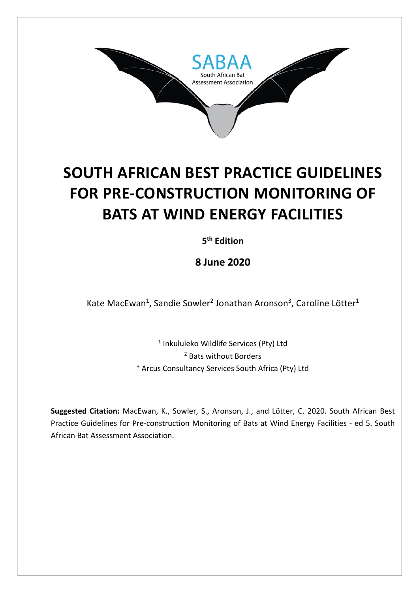

# **SOUTH AFRICAN BEST PRACTICE GUIDELINES FOR PRE-CONSTRUCTION MONITORING OF BATS AT WIND ENERGY FACILITIES**

**5th Edition**

**8 June 2020**

Kate MacEwan<sup>1</sup>, Sandie Sowler<sup>2</sup> Jonathan Aronson<sup>3</sup>, Caroline Lötter<sup>1</sup>

<sup>1</sup> Inkululeko Wildlife Services (Pty) Ltd <sup>2</sup> Bats without Borders <sup>3</sup> Arcus Consultancy Services South Africa (Pty) Ltd

**Suggested Citation:** MacEwan, K., Sowler, S., Aronson, J., and Lötter, C. 2020. South African Best Practice Guidelines for Pre-construction Monitoring of Bats at Wind Energy Facilities - ed 5. South African Bat Assessment Association.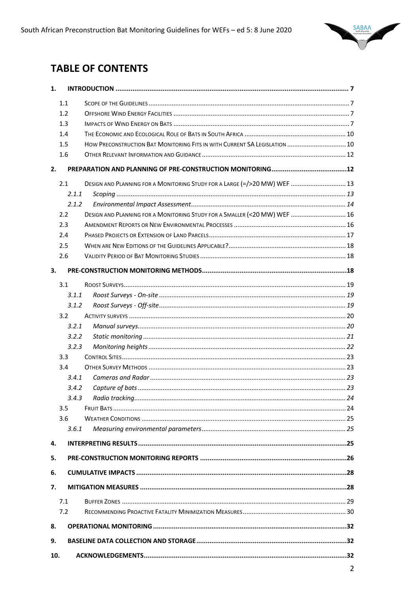

# **TABLE OF CONTENTS**

| 1.  |       |                                                                            |  |
|-----|-------|----------------------------------------------------------------------------|--|
|     | 1.1   |                                                                            |  |
|     | 1.2   |                                                                            |  |
|     | 1.3   |                                                                            |  |
|     | 1.4   |                                                                            |  |
|     | 1.5   | HOW PRECONSTRUCTION BAT MONITORING FITS IN WITH CURRENT SA LEGISLATION  10 |  |
|     | 1.6   |                                                                            |  |
| 2.  |       |                                                                            |  |
|     | 2.1   | DESIGN AND PLANNING FOR A MONITORING STUDY FOR A LARGE (=/>20 MW) WEF  13  |  |
|     | 2.1.1 |                                                                            |  |
|     | 2.1.2 |                                                                            |  |
|     | 2.2   | DESIGN AND PLANNING FOR A MONITORING STUDY FOR A SMALLER (<20 MW) WEF  16  |  |
|     | 2.3   |                                                                            |  |
|     | 2.4   |                                                                            |  |
|     | 2.5   |                                                                            |  |
|     | 2.6   |                                                                            |  |
|     |       |                                                                            |  |
| 3.  |       |                                                                            |  |
|     | 3.1   |                                                                            |  |
|     | 3.1.1 |                                                                            |  |
|     | 3.1.2 |                                                                            |  |
|     | 3.2   |                                                                            |  |
|     | 3.2.1 |                                                                            |  |
|     | 3.2.2 |                                                                            |  |
|     | 3.2.3 |                                                                            |  |
|     | 3.3   |                                                                            |  |
|     | 3.4   |                                                                            |  |
|     | 3.4.1 |                                                                            |  |
|     | 3.4.2 |                                                                            |  |
|     | 3.4.3 |                                                                            |  |
|     | 3.5   |                                                                            |  |
|     | 3.6   |                                                                            |  |
|     | 3.6.1 |                                                                            |  |
| 4.  |       |                                                                            |  |
| 5.  |       |                                                                            |  |
| 6.  |       |                                                                            |  |
| 7.  |       |                                                                            |  |
|     | 7.1   |                                                                            |  |
|     | 7.2   |                                                                            |  |
| 8.  |       |                                                                            |  |
| 9.  |       |                                                                            |  |
| 10. |       |                                                                            |  |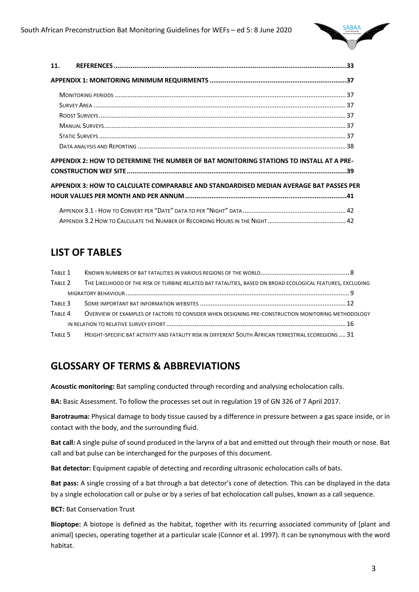

| 11.                                                                                     |  |
|-----------------------------------------------------------------------------------------|--|
|                                                                                         |  |
|                                                                                         |  |
|                                                                                         |  |
|                                                                                         |  |
|                                                                                         |  |
|                                                                                         |  |
|                                                                                         |  |
| APPENDIX 2: HOW TO DETERMINE THE NUMBER OF BAT MONITORING STATIONS TO INSTALL AT A PRE- |  |
|                                                                                         |  |
| APPENDIX 3: HOW TO CALCULATE COMPARABLE AND STANDARDISED MEDIAN AVERAGE BAT PASSES PER  |  |
|                                                                                         |  |
|                                                                                         |  |

# **LIST OF TABLES**

| TABLE 1            |                                                                                                             |  |
|--------------------|-------------------------------------------------------------------------------------------------------------|--|
| TABLE 2            | THE LIKELIHOOD OF THE RISK OF TURBINE RELATED BAT FATALITIES, BASED ON BROAD ECOLOGICAL FEATURES, EXCLUDING |  |
|                    |                                                                                                             |  |
| TABLE 3            |                                                                                                             |  |
| TABLE <sub>4</sub> | OVERVIEW OF EXAMPLES OF FACTORS TO CONSIDER WHEN DESIGNING PRE-CONSTRUCTION MONITORING METHODOLOGY          |  |
|                    |                                                                                                             |  |
| TABLE 5            | HEIGHT-SPECIFIC BAT ACTIVITY AND FATALITY RISK IN DIFFERENT SOUTH AFRICAN TERRESTRIAL ECOREGIONS  31        |  |

# **GLOSSARY OF TERMS & ABBREVIATIONS**

**Acoustic monitoring:** Bat sampling conducted through recording and analysing echolocation calls.

**BA:** Basic Assessment. To follow the processes set out in regulation 19 of GN 326 of 7 April 2017.

**Barotrauma:** Physical damage to body tissue caused by a difference in pressure between a gas space inside, or in contact with the body, and the surrounding fluid.

**Bat call:** A single pulse of sound produced in the larynx of a bat and emitted out through their mouth or nose. Bat call and bat pulse can be interchanged for the purposes of this document.

**Bat detector:** Equipment capable of detecting and recording ultrasonic echolocation calls of bats.

**Bat pass:** A single crossing of a bat through a bat detector's cone of detection. This can be displayed in the data by a single echolocation call or pulse or by a series of bat echolocation call pulses, known as a call sequence.

**BCT:** Bat Conservation Trust

**Bioptope:** A biotope is defined as the habitat, together with its recurring associated community of [plant and animal] species, operating together at a particular scale (Connor et al. 1997). It can be synonymous with the word habitat.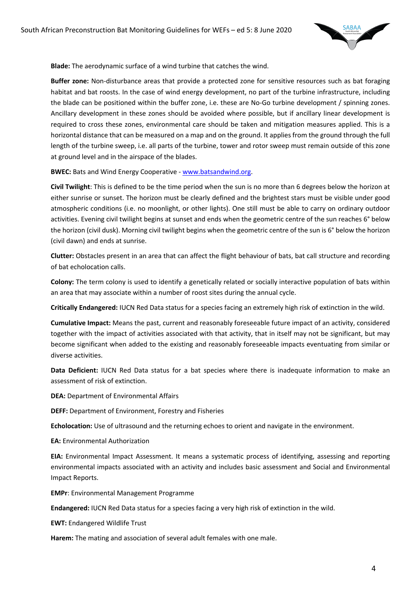

**Blade:** The aerodynamic surface of a wind turbine that catches the wind.

**Buffer zone:** Non-disturbance areas that provide a protected zone for sensitive resources such as bat foraging habitat and bat roosts. In the case of wind energy development, no part of the turbine infrastructure, including the blade can be positioned within the buffer zone, i.e. these are No-Go turbine development / spinning zones. Ancillary development in these zones should be avoided where possible, but if ancillary linear development is required to cross these zones, environmental care should be taken and mitigation measures applied. This is a horizontal distance that can be measured on a map and on the ground. It applies from the ground through the full length of the turbine sweep, i.e. all parts of the turbine, tower and rotor sweep must remain outside of this zone at ground level and in the airspace of the blades.

**BWEC:** Bats and Wind Energy Cooperative - www.batsandwind.org.

**Civil Twilight**: This is defined to be the time period when the sun is no more than 6 degrees below the horizon at either sunrise or sunset. The horizon must be clearly defined and the brightest stars must be visible under good atmospheric conditions (i.e. no moonlight, or other lights). One still must be able to carry on ordinary outdoor activities. Evening civil twilight begins at sunset and ends when the geometric centre of the sun reaches 6° below the horizon (civil dusk). Morning civil twilight begins when the geometric centre of the sun is 6° below the horizon (civil dawn) and ends at sunrise.

**Clutter:** Obstacles present in an area that can affect the flight behaviour of bats, bat call structure and recording of bat echolocation calls.

**Colony:** The term colony is used to identify a genetically related or socially interactive population of bats within an area that may associate within a number of roost sites during the annual cycle.

**Critically Endangered:** IUCN Red Data status for a species facing an extremely high risk of extinction in the wild.

**Cumulative Impact:** Means the past, current and reasonably foreseeable future impact of an activity, considered together with the impact of activities associated with that activity, that in itself may not be significant, but may become significant when added to the existing and reasonably foreseeable impacts eventuating from similar or diverse activities.

**Data Deficient:** IUCN Red Data status for a bat species where there is inadequate information to make an assessment of risk of extinction.

**DEA:** Department of Environmental Affairs

**DEFF:** Department of Environment, Forestry and Fisheries

**Echolocation:** Use of ultrasound and the returning echoes to orient and navigate in the environment.

**EA:** Environmental Authorization

**EIA:** Environmental Impact Assessment. It means a systematic process of identifying, assessing and reporting environmental impacts associated with an activity and includes basic assessment and Social and Environmental Impact Reports.

**EMPr**: Environmental Management Programme

**Endangered:** IUCN Red Data status for a species facing a very high risk of extinction in the wild.

**EWT:** Endangered Wildlife Trust

**Harem:** The mating and association of several adult females with one male.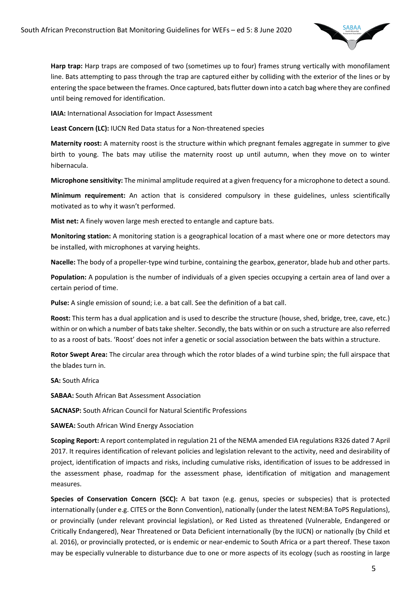

**Harp trap:** Harp traps are composed of two (sometimes up to four) frames strung vertically with monofilament line. Bats attempting to pass through the trap are captured either by colliding with the exterior of the lines or by entering the space between the frames. Once captured, bats flutter down into a catch bag where they are confined until being removed for identification.

**IAIA: International Association for Impact Assessment** 

**Least Concern (LC):** IUCN Red Data status for a Non-threatened species

**Maternity roost:** A maternity roost is the structure within which pregnant females aggregate in summer to give birth to young. The bats may utilise the maternity roost up until autumn, when they move on to winter hibernacula.

**Microphone sensitivity:** The minimal amplitude required at a given frequency for a microphone to detect a sound.

**Minimum requirement:** An action that is considered compulsory in these guidelines, unless scientifically motivated as to why it wasn't performed.

**Mist net:** A finely woven large mesh erected to entangle and capture bats.

**Monitoring station:** A monitoring station is a geographical location of a mast where one or more detectors may be installed, with microphones at varying heights.

**Nacelle:** The body of a propeller-type wind turbine, containing the gearbox, generator, blade hub and other parts.

**Population:** A population is the number of individuals of a given species occupying a certain area of land over a certain period of time.

**Pulse:** A single emission of sound; i.e. a bat call. See the definition of a bat call.

**Roost:** This term has a dual application and is used to describe the structure (house, shed, bridge, tree, cave, etc.) within or on which a number of bats take shelter. Secondly, the bats within or on such a structure are also referred to as a roost of bats. 'Roost' does not infer a genetic or social association between the bats within a structure.

**Rotor Swept Area:** The circular area through which the rotor blades of a wind turbine spin; the full airspace that the blades turn in.

**SA:** South Africa

**SABAA:** South African Bat Assessment Association

**SACNASP:** South African Council for Natural Scientific Professions

**SAWEA:** South African Wind Energy Association

**Scoping Report:** A report contemplated in regulation 21 of the NEMA amended EIA regulations R326 dated 7 April 2017. It requires identification of relevant policies and legislation relevant to the activity, need and desirability of project, identification of impacts and risks, including cumulative risks, identification of issues to be addressed in the assessment phase, roadmap for the assessment phase, identification of mitigation and management measures.

**Species of Conservation Concern (SCC):** A bat taxon (e.g. genus, species or subspecies) that is protected internationally (under e.g. CITES or the Bonn Convention), nationally (under the latest NEM:BA ToPS Regulations), or provincially (under relevant provincial legislation), or Red Listed as threatened (Vulnerable, Endangered or Critically Endangered), Near Threatened or Data Deficient internationally (by the IUCN) or nationally (by Child et al. 2016), or provincially protected, or is endemic or near-endemic to South Africa or a part thereof. These taxon may be especially vulnerable to disturbance due to one or more aspects of its ecology (such as roosting in large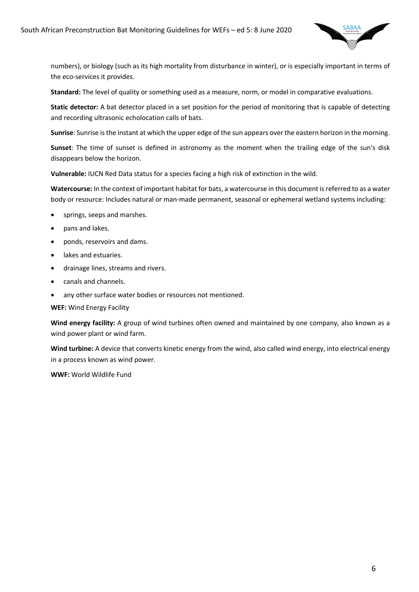

numbers), or biology (such as its high mortality from disturbance in winter), or is especially important in terms of the eco-services it provides.

**Standard:** The level of quality or something used as a measure, norm, or model in comparative evaluations.

**Static detector:** A bat detector placed in a set position for the period of monitoring that is capable of detecting and recording ultrasonic echolocation calls of bats.

**Sunrise**: Sunrise is the instant at which the upper edge of the sun appears over the eastern horizon in the morning.

**Sunset**: The time of sunset is defined in astronomy as the moment when the trailing edge of the sun's disk disappears below the horizon.

**Vulnerable:** IUCN Red Data status for a species facing a high risk of extinction in the wild.

**Watercourse:** In the context of important habitat for bats, a watercourse in this document isreferred to as a water body or resource: Includes natural or man-made permanent, seasonal or ephemeral wetland systems including:

- springs, seeps and marshes.
- pans and lakes.
- ponds, reservoirs and dams.
- lakes and estuaries.
- drainage lines, streams and rivers.
- canals and channels.
- any other surface water bodies or resources not mentioned.

**WEF:** Wind Energy Facility

**Wind energy facility:** A group of wind turbines often owned and maintained by one company, also known as a wind power plant or wind farm.

**Wind turbine:** A device that converts kinetic energy from the wind, also called wind energy, into electrical energy in a process known as wind power.

**WWF:** World Wildlife Fund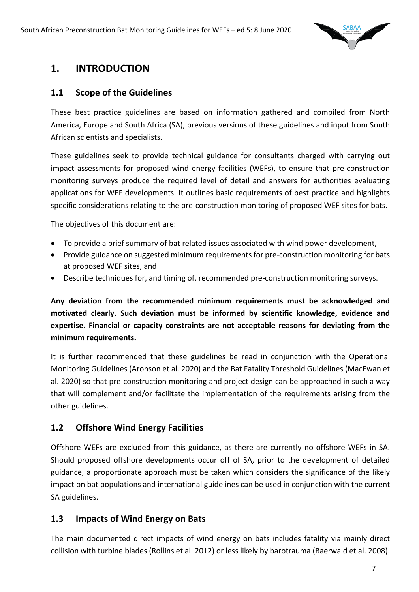

# **1. INTRODUCTION**

#### **1.1 Scope of the Guidelines**

These best practice guidelines are based on information gathered and compiled from North America, Europe and South Africa (SA), previous versions of these guidelines and input from South African scientists and specialists.

These guidelines seek to provide technical guidance for consultants charged with carrying out impact assessments for proposed wind energy facilities (WEFs), to ensure that pre-construction monitoring surveys produce the required level of detail and answers for authorities evaluating applications for WEF developments. It outlines basic requirements of best practice and highlights specific considerations relating to the pre-construction monitoring of proposed WEF sites for bats.

The objectives of this document are:

- To provide a brief summary of bat related issues associated with wind power development,
- Provide guidance on suggested minimum requirements for pre-construction monitoring for bats at proposed WEF sites, and
- Describe techniques for, and timing of, recommended pre-construction monitoring surveys.

**Any deviation from the recommended minimum requirements must be acknowledged and motivated clearly. Such deviation must be informed by scientific knowledge, evidence and expertise. Financial or capacity constraints are not acceptable reasons for deviating from the minimum requirements.**

It is further recommended that these guidelines be read in conjunction with the Operational Monitoring Guidelines (Aronson et al. 2020) and the Bat Fatality Threshold Guidelines (MacEwan et al. 2020) so that pre-construction monitoring and project design can be approached in such a way that will complement and/or facilitate the implementation of the requirements arising from the other guidelines.

#### **1.2 Offshore Wind Energy Facilities**

Offshore WEFs are excluded from this guidance, as there are currently no offshore WEFs in SA. Should proposed offshore developments occur off of SA, prior to the development of detailed guidance, a proportionate approach must be taken which considers the significance of the likely impact on bat populations and international guidelines can be used in conjunction with the current SA guidelines.

#### **1.3 Impacts of Wind Energy on Bats**

The main documented direct impacts of wind energy on bats includes fatality via mainly direct collision with turbine blades (Rollins et al. 2012) or less likely by barotrauma (Baerwald et al. 2008).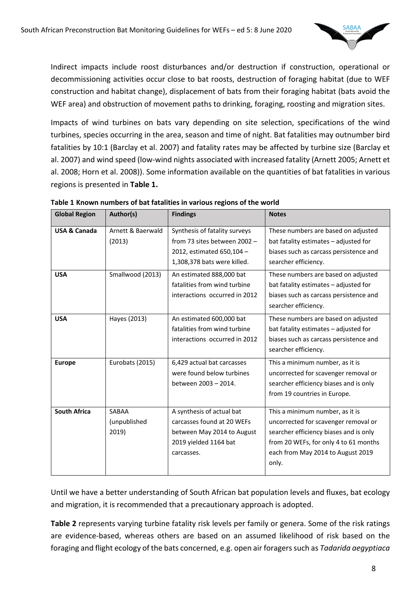

Indirect impacts include roost disturbances and/or destruction if construction, operational or decommissioning activities occur close to bat roosts, destruction of foraging habitat (due to WEF construction and habitat change), displacement of bats from their foraging habitat (bats avoid the WEF area) and obstruction of movement paths to drinking, foraging, roosting and migration sites.

Impacts of wind turbines on bats vary depending on site selection, specifications of the wind turbines, species occurring in the area, season and time of night. Bat fatalities may outnumber bird fatalities by 10:1 (Barclay et al. 2007) and fatality rates may be affected by turbine size (Barclay et al. 2007) and wind speed (low-wind nights associated with increased fatality (Arnett 2005; Arnett et al. 2008; Horn et al. 2008)). Some information available on the quantities of bat fatalities in various regions is presented in **Table 1.**

| <b>Global Region</b>    | Author(s)                      | <b>Findings</b>                                                                                                              | <b>Notes</b>                                                                                                                                                                                             |
|-------------------------|--------------------------------|------------------------------------------------------------------------------------------------------------------------------|----------------------------------------------------------------------------------------------------------------------------------------------------------------------------------------------------------|
| <b>USA &amp; Canada</b> | Arnett & Baerwald<br>(2013)    | Synthesis of fatality surveys<br>from 73 sites between 2002 -<br>2012, estimated 650,104 -<br>1,308,378 bats were killed.    | These numbers are based on adjusted<br>bat fatality estimates - adjusted for<br>biases such as carcass persistence and<br>searcher efficiency.                                                           |
| <b>USA</b>              | Smallwood (2013)               | An estimated 888,000 bat<br>fatalities from wind turbine<br>interactions occurred in 2012                                    | These numbers are based on adjusted<br>bat fatality estimates - adjusted for<br>biases such as carcass persistence and<br>searcher efficiency.                                                           |
| <b>USA</b>              | Hayes (2013)                   | An estimated 600,000 bat<br>fatalities from wind turbine<br>interactions occurred in 2012                                    | These numbers are based on adjusted<br>bat fatality estimates - adjusted for<br>biases such as carcass persistence and<br>searcher efficiency.                                                           |
| <b>Europe</b>           | Eurobats (2015)                | 6,429 actual bat carcasses<br>were found below turbines<br>between 2003 - 2014.                                              | This a minimum number, as it is<br>uncorrected for scavenger removal or<br>searcher efficiency biases and is only<br>from 19 countries in Europe.                                                        |
| <b>South Africa</b>     | SABAA<br>(unpublished<br>2019) | A synthesis of actual bat<br>carcasses found at 20 WEFs<br>between May 2014 to August<br>2019 yielded 1164 bat<br>carcasses. | This a minimum number, as it is<br>uncorrected for scavenger removal or<br>searcher efficiency biases and is only<br>from 20 WEFs, for only 4 to 61 months<br>each from May 2014 to August 2019<br>only. |

**Table 1 Known numbers of bat fatalities in various regions of the world**

Until we have a better understanding of South African bat population levels and fluxes, bat ecology and migration, it is recommended that a precautionary approach is adopted.

**Table 2** represents varying turbine fatality risk levels per family or genera. Some of the risk ratings are evidence-based, whereas others are based on an assumed likelihood of risk based on the foraging and flight ecology of the bats concerned, e.g. open air foragers such as *Tadarida aegyptiaca*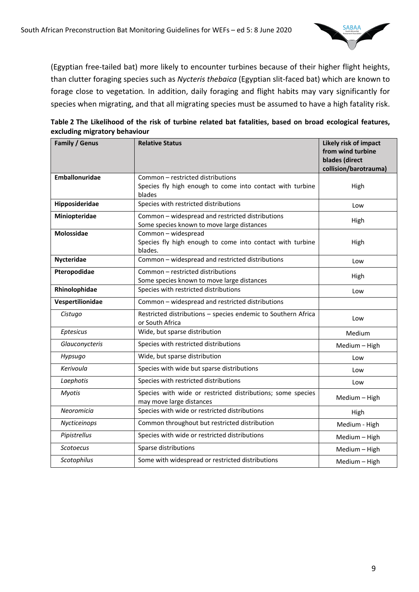

(Egyptian free-tailed bat) more likely to encounter turbines because of their higher flight heights, than clutter foraging species such as *Nycteris thebaica* (Egyptian slit-faced bat) which are known to forage close to vegetation*.* In addition, daily foraging and flight habits may vary significantly for species when migrating, and that all migrating species must be assumed to have a high fatality risk.

| Table 2 The Likelihood of the risk of turbine related bat fatalities, based on broad ecological features, |  |  |  |
|-----------------------------------------------------------------------------------------------------------|--|--|--|
| excluding migratory behaviour                                                                             |  |  |  |

| Family / Genus   | <b>Relative Status</b>                                                                                   | Likely risk of impact<br>from wind turbine<br>blades (direct<br>collision/barotrauma) |
|------------------|----------------------------------------------------------------------------------------------------------|---------------------------------------------------------------------------------------|
| Emballonuridae   | Common - restricted distributions<br>Species fly high enough to come into contact with turbine<br>blades | High                                                                                  |
| Hipposideridae   | Species with restricted distributions                                                                    | Low                                                                                   |
| Miniopteridae    | Common - widespread and restricted distributions<br>Some species known to move large distances           | High                                                                                  |
| Molossidae       | Common - widespread<br>Species fly high enough to come into contact with turbine<br>blades.              | High                                                                                  |
| Nycteridae       | Common - widespread and restricted distributions                                                         | Low                                                                                   |
| Pteropodidae     | Common – restricted distributions<br>Some species known to move large distances                          | High                                                                                  |
| Rhinolophidae    | Species with restricted distributions                                                                    | Low                                                                                   |
| Vespertilionidae | Common - widespread and restricted distributions                                                         |                                                                                       |
| Cistugo          | Restricted distributions - species endemic to Southern Africa<br>or South Africa                         | Low                                                                                   |
| Eptesicus        | Wide, but sparse distribution                                                                            | Medium                                                                                |
| Glauconycteris   | Species with restricted distributions                                                                    | Medium - High                                                                         |
| Hypsugo          | Wide, but sparse distribution                                                                            | Low                                                                                   |
| Kerivoula        | Species with wide but sparse distributions                                                               | Low                                                                                   |
| Laephotis        | Species with restricted distributions                                                                    | Low                                                                                   |
| <b>Myotis</b>    | Species with wide or restricted distributions; some species<br>may move large distances                  | Medium - High                                                                         |
| Neoromicia       | Species with wide or restricted distributions                                                            | High                                                                                  |
| Nycticeinops     | Common throughout but restricted distribution                                                            | Medium - High                                                                         |
| Pipistrellus     | Species with wide or restricted distributions                                                            | Medium - High                                                                         |
| Scotoecus        | Sparse distributions                                                                                     | Medium - High                                                                         |
| Scotophilus      | Some with widespread or restricted distributions                                                         | Medium - High                                                                         |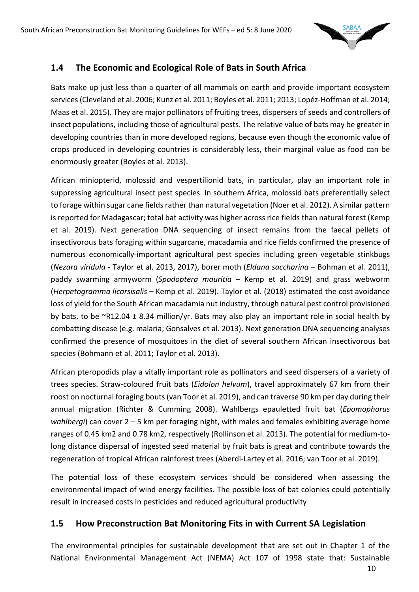

### **1.4 The Economic and Ecological Role of Bats in South Africa**

Bats make up just less than a quarter of all mammals on earth and provide important ecosystem services (Cleveland et al. 2006; Kunz et al. 2011; Boyles et al. 2011; 2013; Lopéz-Hoffman et al. 2014; Maas et al. 2015). They are major pollinators of fruiting trees, dispersers of seeds and controllers of insect populations, including those of agricultural pests. The relative value of bats may be greater in developing countries than in more developed regions, because even though the economic value of crops produced in developing countries is considerably less, their marginal value as food can be enormously greater (Boyles et al. 2013).

African miniopterid, molossid and vespertilionid bats, in particular, play an important role in suppressing agricultural insect pest species. In southern Africa, molossid bats preferentially select to forage within sugar cane fields rather than natural vegetation (Noer et al. 2012). A similar pattern is reported for Madagascar; total bat activity was higher across rice fields than natural forest (Kemp et al. 2019). Next generation DNA sequencing of insect remains from the faecal pellets of insectivorous bats foraging within sugarcane, macadamia and rice fields confirmed the presence of numerous economically-important agricultural pest species including green vegetable stinkbugs (*Nezara viridula* - Taylor et al. 2013, 2017), borer moth (*Eldana saccharina* – Bohman et al. 2011), paddy swarming armyworm (*Spodoptera mauritia* – Kemp et al. 2019) and grass webworm (*Herpetogramma licarsisalis* – Kemp et al. 2019). Taylor et al. (2018) estimated the cost avoidance loss of yield for the South African macadamia nut industry, through natural pest control provisioned by bats, to be ~R12.04 ± 8.34 million/yr. Bats may also play an important role in social health by combatting disease (e.g. malaria; Gonsalves et al. 2013). Next generation DNA sequencing analyses confirmed the presence of mosquitoes in the diet of several southern African insectivorous bat species (Bohmann et al. 2011; Taylor et al. 2013).

African pteropodids play a vitally important role as pollinators and seed dispersers of a variety of trees species. Straw-coloured fruit bats (*Eidolon helvum*), travel approximately 67 km from their roost on nocturnal foraging bouts (van Toor et al. 2019), and can traverse 90 km per day during their annual migration (Richter & Cumming 2008). Wahlbergs epauletted fruit bat (*Epomophorus wahlbergi*) can cover 2 – 5 km per foraging night, with males and females exhibiting average home ranges of 0.45 km2 and 0.78 km2, respectively (Rollinson et al. 2013). The potential for medium-tolong distance dispersal of ingested seed material by fruit bats is great and contribute towards the regeneration of tropical African rainforest trees (Aberdi-Lartey et al. 2016; van Toor et al. 2019).

The potential loss of these ecosystem services should be considered when assessing the environmental impact of wind energy facilities. The possible loss of bat colonies could potentially result in increased costs in pesticides and reduced agricultural productivity

#### **1.5 How Preconstruction Bat Monitoring Fits in with Current SA Legislation**

The environmental principles for sustainable development that are set out in Chapter 1 of the National Environmental Management Act (NEMA) Act 107 of 1998 state that: Sustainable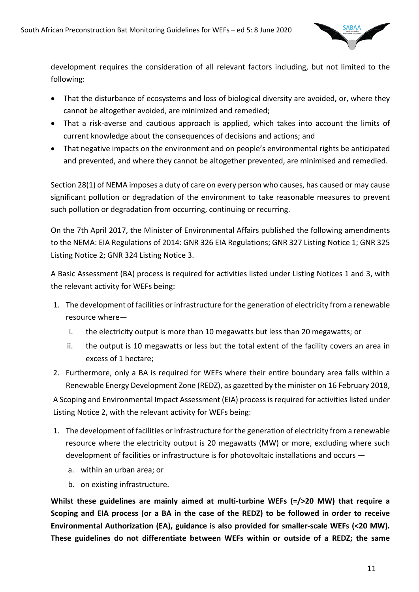

development requires the consideration of all relevant factors including, but not limited to the following:

- That the disturbance of ecosystems and loss of biological diversity are avoided, or, where they cannot be altogether avoided, are minimized and remedied;
- That a risk-averse and cautious approach is applied, which takes into account the limits of current knowledge about the consequences of decisions and actions; and
- That negative impacts on the environment and on people's environmental rights be anticipated and prevented, and where they cannot be altogether prevented, are minimised and remedied.

Section 28(1) of NEMA imposes a duty of care on every person who causes, has caused or may cause significant pollution or degradation of the environment to take reasonable measures to prevent such pollution or degradation from occurring, continuing or recurring.

On the 7th April 2017, the Minister of Environmental Affairs published the following amendments to the NEMA: EIA Regulations of 2014: GNR 326 EIA Regulations; GNR 327 Listing Notice 1; GNR 325 Listing Notice 2; GNR 324 Listing Notice 3.

A Basic Assessment (BA) process is required for activities listed under Listing Notices 1 and 3, with the relevant activity for WEFs being:

- 1. The development of facilities or infrastructure for the generation of electricity from a renewable resource where
	- i. the electricity output is more than 10 megawatts but less than 20 megawatts; or
	- ii. the output is 10 megawatts or less but the total extent of the facility covers an area in excess of 1 hectare;
- 2. Furthermore, only a BA is required for WEFs where their entire boundary area falls within a Renewable Energy Development Zone (REDZ), as gazetted by the minister on 16 February 2018,

A Scoping and Environmental Impact Assessment (EIA) process is required for activities listed under Listing Notice 2, with the relevant activity for WEFs being:

- 1. The development of facilities or infrastructure for the generation of electricity from a renewable resource where the electricity output is 20 megawatts (MW) or more, excluding where such development of facilities or infrastructure is for photovoltaic installations and occurs
	- a. within an urban area; or
	- b. on existing infrastructure.

**Whilst these guidelines are mainly aimed at multi-turbine WEFs (=/>20 MW) that require a Scoping and EIA process (or a BA in the case of the REDZ) to be followed in order to receive Environmental Authorization (EA), guidance is also provided for smaller-scale WEFs (<20 MW). These guidelines do not differentiate between WEFs within or outside of a REDZ; the same**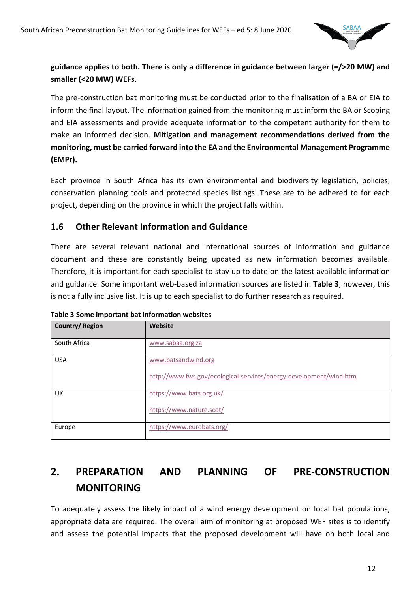

#### **guidance applies to both. There is only a difference in guidance between larger (=/>20 MW) and smaller (<20 MW) WEFs.**

The pre-construction bat monitoring must be conducted prior to the finalisation of a BA or EIA to inform the final layout. The information gained from the monitoring must inform the BA or Scoping and EIA assessments and provide adequate information to the competent authority for them to make an informed decision. **Mitigation and management recommendations derived from the monitoring, must be carried forward into the EA and the Environmental Management Programme (EMPr).**

Each province in South Africa has its own environmental and biodiversity legislation, policies, conservation planning tools and protected species listings. These are to be adhered to for each project, depending on the province in which the project falls within.

### **1.6 Other Relevant Information and Guidance**

There are several relevant national and international sources of information and guidance document and these are constantly being updated as new information becomes available. Therefore, it is important for each specialist to stay up to date on the latest available information and guidance. Some important web-based information sources are listed in **Table 3**, however, this is not a fully inclusive list. It is up to each specialist to do further research as required.

| Country/Region | Website                                                                                   |
|----------------|-------------------------------------------------------------------------------------------|
| South Africa   | www.sabaa.org.za                                                                          |
| <b>USA</b>     | www.batsandwind.org<br>http://www.fws.gov/ecological-services/energy-development/wind.htm |
| UK             | https://www.bats.org.uk/<br>https://www.nature.scot/                                      |
| Europe         | https://www.eurobats.org/                                                                 |

**Table 3 Some important bat information websites**

# **2. PREPARATION AND PLANNING OF PRE-CONSTRUCTION MONITORING**

To adequately assess the likely impact of a wind energy development on local bat populations, appropriate data are required. The overall aim of monitoring at proposed WEF sites is to identify and assess the potential impacts that the proposed development will have on both local and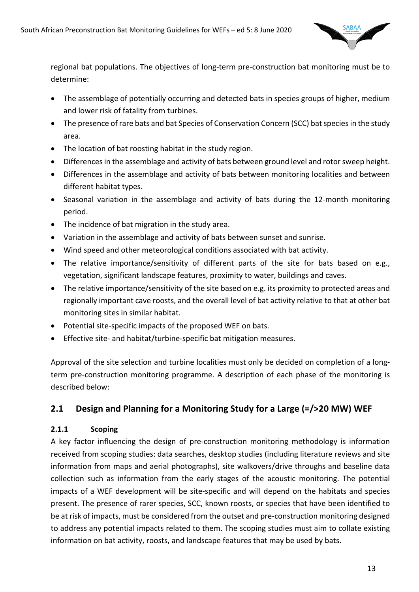

regional bat populations. The objectives of long-term pre-construction bat monitoring must be to determine:

- The assemblage of potentially occurring and detected bats in species groups of higher, medium and lower risk of fatality from turbines.
- The presence of rare bats and bat Species of Conservation Concern (SCC) bat species in the study area.
- The location of bat roosting habitat in the study region.
- Differences in the assemblage and activity of bats between ground level and rotor sweep height.
- Differences in the assemblage and activity of bats between monitoring localities and between different habitat types.
- Seasonal variation in the assemblage and activity of bats during the 12-month monitoring period.
- The incidence of bat migration in the study area.
- Variation in the assemblage and activity of bats between sunset and sunrise.
- Wind speed and other meteorological conditions associated with bat activity.
- The relative importance/sensitivity of different parts of the site for bats based on e.g., vegetation, significant landscape features, proximity to water, buildings and caves.
- The relative importance/sensitivity of the site based on e.g. its proximity to protected areas and regionally important cave roosts, and the overall level of bat activity relative to that at other bat monitoring sites in similar habitat.
- Potential site-specific impacts of the proposed WEF on bats.
- Effective site- and habitat/turbine-specific bat mitigation measures.

Approval of the site selection and turbine localities must only be decided on completion of a longterm pre-construction monitoring programme. A description of each phase of the monitoring is described below:

# **2.1 Design and Planning for a Monitoring Study for a Large (=/>20 MW) WEF**

#### **2.1.1 Scoping**

A key factor influencing the design of pre-construction monitoring methodology is information received from scoping studies: data searches, desktop studies (including literature reviews and site information from maps and aerial photographs), site walkovers/drive throughs and baseline data collection such as information from the early stages of the acoustic monitoring. The potential impacts of a WEF development will be site-specific and will depend on the habitats and species present. The presence of rarer species, SCC, known roosts, or species that have been identified to be at risk of impacts, must be considered from the outset and pre-construction monitoring designed to address any potential impacts related to them. The scoping studies must aim to collate existing information on bat activity, roosts, and landscape features that may be used by bats.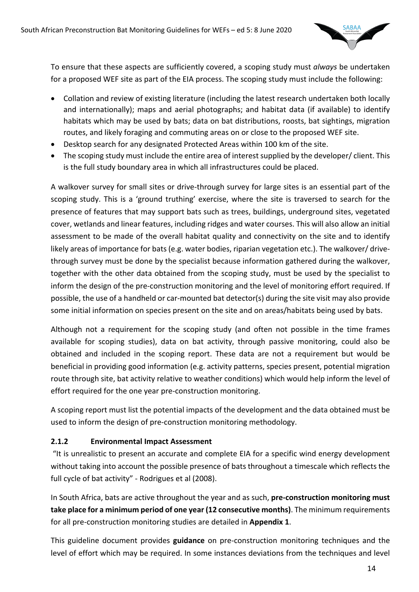

To ensure that these aspects are sufficiently covered, a scoping study must *always* be undertaken for a proposed WEF site as part of the EIA process. The scoping study must include the following:

- Collation and review of existing literature (including the latest research undertaken both locally and internationally); maps and aerial photographs; and habitat data (if available) to identify habitats which may be used by bats; data on bat distributions, roosts, bat sightings, migration routes, and likely foraging and commuting areas on or close to the proposed WEF site.
- Desktop search for any designated Protected Areas within 100 km of the site.
- The scoping study must include the entire area of interest supplied by the developer/ client. This is the full study boundary area in which all infrastructures could be placed.

A walkover survey for small sites or drive-through survey for large sites is an essential part of the scoping study. This is a 'ground truthing' exercise, where the site is traversed to search for the presence of features that may support bats such as trees, buildings, underground sites, vegetated cover, wetlands and linear features, including ridges and water courses. This will also allow an initial assessment to be made of the overall habitat quality and connectivity on the site and to identify likely areas of importance for bats (e.g. water bodies, riparian vegetation etc.). The walkover/ drivethrough survey must be done by the specialist because information gathered during the walkover, together with the other data obtained from the scoping study, must be used by the specialist to inform the design of the pre-construction monitoring and the level of monitoring effort required. If possible, the use of a handheld or car-mounted bat detector(s) during the site visit may also provide some initial information on species present on the site and on areas/habitats being used by bats.

Although not a requirement for the scoping study (and often not possible in the time frames available for scoping studies), data on bat activity, through passive monitoring, could also be obtained and included in the scoping report. These data are not a requirement but would be beneficial in providing good information (e.g. activity patterns, species present, potential migration route through site, bat activity relative to weather conditions) which would help inform the level of effort required for the one year pre-construction monitoring.

A scoping report must list the potential impacts of the development and the data obtained must be used to inform the design of pre-construction monitoring methodology.

#### **2.1.2 Environmental Impact Assessment**

"It is unrealistic to present an accurate and complete EIA for a specific wind energy development without taking into account the possible presence of bats throughout a timescale which reflects the full cycle of bat activity" - Rodrigues et al (2008).

In South Africa, bats are active throughout the year and as such, **pre-construction monitoring must take place for a minimum period of one year (12 consecutive months)**. The minimum requirements for all pre-construction monitoring studies are detailed in **Appendix 1**.

This guideline document provides **guidance** on pre-construction monitoring techniques and the level of effort which may be required. In some instances deviations from the techniques and level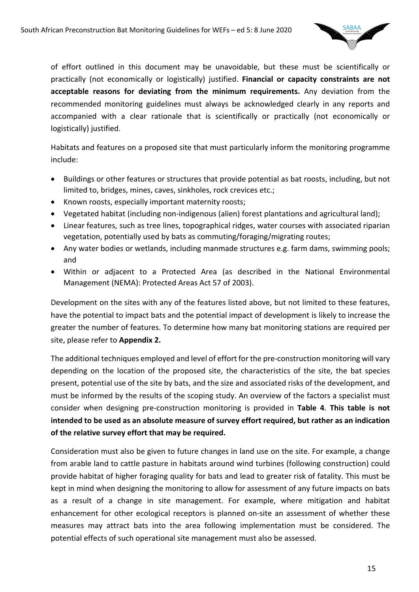

of effort outlined in this document may be unavoidable, but these must be scientifically or practically (not economically or logistically) justified. **Financial or capacity constraints are not acceptable reasons for deviating from the minimum requirements.** Any deviation from the recommended monitoring guidelines must always be acknowledged clearly in any reports and accompanied with a clear rationale that is scientifically or practically (not economically or logistically) justified.

Habitats and features on a proposed site that must particularly inform the monitoring programme include:

- Buildings or other features or structures that provide potential as bat roosts, including, but not limited to, bridges, mines, caves, sinkholes, rock crevices etc.;
- Known roosts, especially important maternity roosts;
- Vegetated habitat (including non-indigenous (alien) forest plantations and agricultural land);
- Linear features, such as tree lines, topographical ridges, water courses with associated riparian vegetation, potentially used by bats as commuting/foraging/migrating routes;
- Any water bodies or wetlands, including manmade structures e.g. farm dams, swimming pools; and
- Within or adjacent to a Protected Area (as described in the National Environmental Management (NEMA): Protected Areas Act 57 of 2003).

Development on the sites with any of the features listed above, but not limited to these features, have the potential to impact bats and the potential impact of development is likely to increase the greater the number of features. To determine how many bat monitoring stations are required per site, please refer to **Appendix 2.**

The additional techniques employed and level of effort for the pre-construction monitoring will vary depending on the location of the proposed site, the characteristics of the site, the bat species present, potential use of the site by bats, and the size and associated risks of the development, and must be informed by the results of the scoping study. An overview of the factors a specialist must consider when designing pre-construction monitoring is provided in **Table 4**. **This table is not intended to be used as an absolute measure of survey effort required, but rather as an indication of the relative survey effort that may be required.**

Consideration must also be given to future changes in land use on the site. For example, a change from arable land to cattle pasture in habitats around wind turbines (following construction) could provide habitat of higher foraging quality for bats and lead to greater risk of fatality. This must be kept in mind when designing the monitoring to allow for assessment of any future impacts on bats as a result of a change in site management. For example, where mitigation and habitat enhancement for other ecological receptors is planned on-site an assessment of whether these measures may attract bats into the area following implementation must be considered. The potential effects of such operational site management must also be assessed.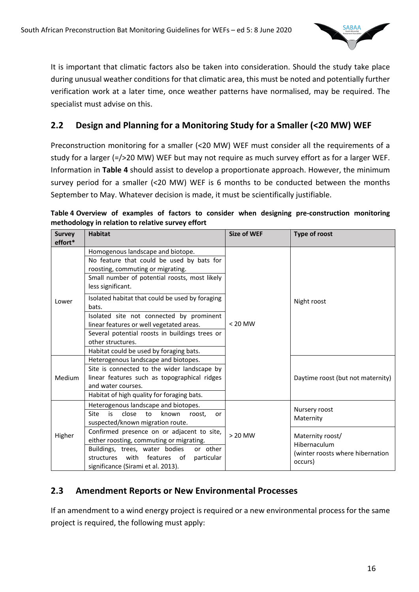

It is important that climatic factors also be taken into consideration. Should the study take place during unusual weather conditions for that climatic area, this must be noted and potentially further verification work at a later time, once weather patterns have normalised, may be required. The specialist must advise on this.

# **2.2 Design and Planning for a Monitoring Study for a Smaller (<20 MW) WEF**

Preconstruction monitoring for a smaller (<20 MW) WEF must consider all the requirements of a study for a larger (=/>20 MW) WEF but may not require as much survey effort as for a larger WEF. Information in **Table 4** should assist to develop a proportionate approach. However, the minimum survey period for a smaller (<20 MW) WEF is 6 months to be conducted between the months September to May. Whatever decision is made, it must be scientifically justifiable.

| <b>Survey</b><br>effort* | <b>Habitat</b>                                                                                                                                                                                                                                                                                                                                                                                                                                                  | <b>Size of WEF</b> | Type of roost                                                                   |
|--------------------------|-----------------------------------------------------------------------------------------------------------------------------------------------------------------------------------------------------------------------------------------------------------------------------------------------------------------------------------------------------------------------------------------------------------------------------------------------------------------|--------------------|---------------------------------------------------------------------------------|
| Lower                    | Homogenous landscape and biotope.<br>No feature that could be used by bats for<br>roosting, commuting or migrating.<br>Small number of potential roosts, most likely<br>less significant.<br>Isolated habitat that could be used by foraging<br>bats.<br>Isolated site not connected by prominent<br>linear features or well vegetated areas.<br>Several potential roosts in buildings trees or<br>other structures.<br>Habitat could be used by foraging bats. | $< 20$ MW          | Night roost                                                                     |
| Medium                   | Heterogenous landscape and biotopes.<br>Site is connected to the wider landscape by<br>linear features such as topographical ridges<br>and water courses.<br>Habitat of high quality for foraging bats.                                                                                                                                                                                                                                                         |                    | Daytime roost (but not maternity)                                               |
|                          | Heterogenous landscape and biotopes.<br><b>Site</b><br>is<br>close<br>to<br>known<br>roost,<br>or<br>suspected/known migration route.                                                                                                                                                                                                                                                                                                                           |                    | Nursery roost<br>Maternity                                                      |
| Higher                   | Confirmed presence on or adjacent to site,<br>either roosting, commuting or migrating.<br>Buildings, trees, water bodies<br>or other<br>with features of<br>structures<br>particular<br>significance (Sirami et al. 2013).                                                                                                                                                                                                                                      | $> 20$ MW          | Maternity roost/<br>Hibernaculum<br>(winter roosts where hibernation<br>occurs) |

**Table 4 Overview of examples of factors to consider when designing pre-construction monitoring methodology in relation to relative survey effort**

#### **2.3 Amendment Reports or New Environmental Processes**

If an amendment to a wind energy project is required or a new environmental process for the same project is required, the following must apply: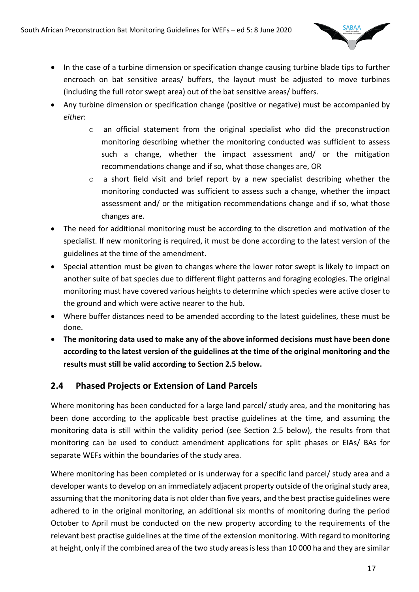

- In the case of a turbine dimension or specification change causing turbine blade tips to further encroach on bat sensitive areas/ buffers, the layout must be adjusted to move turbines (including the full rotor swept area) out of the bat sensitive areas/ buffers.
- Any turbine dimension or specification change (positive or negative) must be accompanied by *either*:
	- o an official statement from the original specialist who did the preconstruction monitoring describing whether the monitoring conducted was sufficient to assess such a change, whether the impact assessment and/ or the mitigation recommendations change and if so, what those changes are, OR
	- o a short field visit and brief report by a new specialist describing whether the monitoring conducted was sufficient to assess such a change, whether the impact assessment and/ or the mitigation recommendations change and if so, what those changes are.
- The need for additional monitoring must be according to the discretion and motivation of the specialist. If new monitoring is required, it must be done according to the latest version of the guidelines at the time of the amendment.
- Special attention must be given to changes where the lower rotor swept is likely to impact on another suite of bat species due to different flight patterns and foraging ecologies. The original monitoring must have covered various heights to determine which species were active closer to the ground and which were active nearer to the hub.
- Where buffer distances need to be amended according to the latest guidelines, these must be done.
- **The monitoring data used to make any of the above informed decisions must have been done according to the latest version of the guidelines at the time of the original monitoring and the results must still be valid according to Section 2.5 below.**

# **2.4 Phased Projects or Extension of Land Parcels**

Where monitoring has been conducted for a large land parcel/ study area, and the monitoring has been done according to the applicable best practise guidelines at the time, and assuming the monitoring data is still within the validity period (see Section 2.5 below), the results from that monitoring can be used to conduct amendment applications for split phases or EIAs/ BAs for separate WEFs within the boundaries of the study area.

Where monitoring has been completed or is underway for a specific land parcel/ study area and a developer wants to develop on an immediately adjacent property outside of the original study area, assuming that the monitoring data is not older than five years, and the best practise guidelines were adhered to in the original monitoring, an additional six months of monitoring during the period October to April must be conducted on the new property according to the requirements of the relevant best practise guidelines at the time of the extension monitoring. With regard to monitoring at height, only if the combined area of the two study areas is less than 10 000 ha and they are similar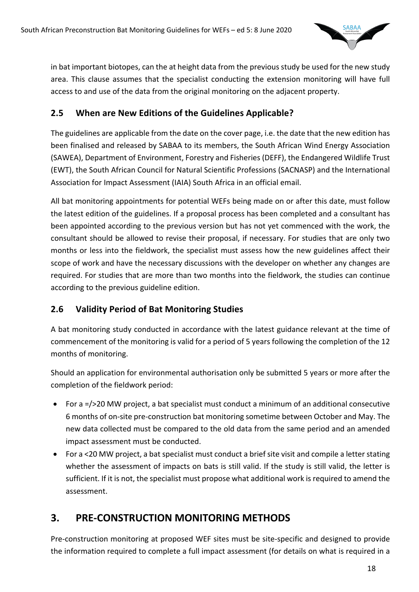

in bat important biotopes, can the at height data from the previous study be used for the new study area. This clause assumes that the specialist conducting the extension monitoring will have full access to and use of the data from the original monitoring on the adjacent property.

# **2.5 When are New Editions of the Guidelines Applicable?**

The guidelines are applicable from the date on the cover page, i.e. the date that the new edition has been finalised and released by SABAA to its members, the South African Wind Energy Association (SAWEA), Department of Environment, Forestry and Fisheries (DEFF), the Endangered Wildlife Trust (EWT), the South African Council for Natural Scientific Professions (SACNASP) and the International Association for Impact Assessment (IAIA) South Africa in an official email.

All bat monitoring appointments for potential WEFs being made on or after this date, must follow the latest edition of the guidelines. If a proposal process has been completed and a consultant has been appointed according to the previous version but has not yet commenced with the work, the consultant should be allowed to revise their proposal, if necessary. For studies that are only two months or less into the fieldwork, the specialist must assess how the new guidelines affect their scope of work and have the necessary discussions with the developer on whether any changes are required. For studies that are more than two months into the fieldwork, the studies can continue according to the previous guideline edition.

# **2.6 Validity Period of Bat Monitoring Studies**

A bat monitoring study conducted in accordance with the latest guidance relevant at the time of commencement of the monitoring is valid for a period of 5 years following the completion of the 12 months of monitoring.

Should an application for environmental authorisation only be submitted 5 years or more after the completion of the fieldwork period:

- For a =/>20 MW project, a bat specialist must conduct a minimum of an additional consecutive 6 months of on-site pre-construction bat monitoring sometime between October and May. The new data collected must be compared to the old data from the same period and an amended impact assessment must be conducted.
- For a <20 MW project, a bat specialist must conduct a brief site visit and compile a letter stating whether the assessment of impacts on bats is still valid. If the study is still valid, the letter is sufficient. If it is not, the specialist must propose what additional work is required to amend the assessment.

# **3. PRE-CONSTRUCTION MONITORING METHODS**

Pre-construction monitoring at proposed WEF sites must be site-specific and designed to provide the information required to complete a full impact assessment (for details on what is required in a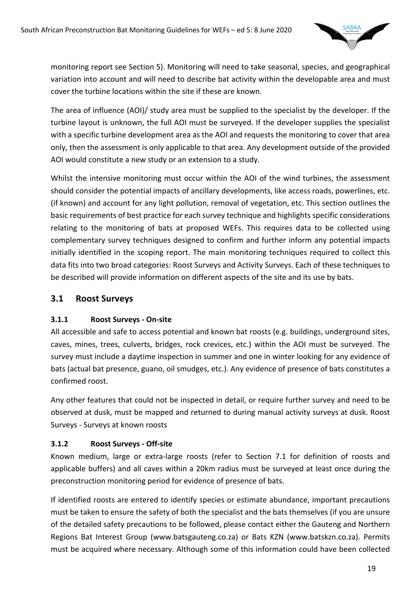

monitoring report see Section 5). Monitoring will need to take seasonal, species, and geographical variation into account and will need to describe bat activity within the developable area and must cover the turbine locations within the site if these are known.

The area of influence (AOI)/ study area must be supplied to the specialist by the developer. If the turbine layout is unknown, the full AOI must be surveyed. If the developer supplies the specialist with a specific turbine development area as the AOI and requests the monitoring to cover that area only, then the assessment is only applicable to that area. Any development outside of the provided AOI would constitute a new study or an extension to a study.

Whilst the intensive monitoring must occur within the AOI of the wind turbines, the assessment should consider the potential impacts of ancillary developments, like access roads, powerlines, etc. (if known) and account for any light pollution, removal of vegetation, etc. This section outlines the basic requirements of best practice for each survey technique and highlights specific considerations relating to the monitoring of bats at proposed WEFs. This requires data to be collected using complementary survey techniques designed to confirm and further inform any potential impacts initially identified in the scoping report. The main monitoring techniques required to collect this data fits into two broad categories: Roost Surveys and Activity Surveys. Each of these techniques to be described will provide information on different aspects of the site and its use by bats.

# **3.1 Roost Surveys**

#### **3.1.1 Roost Surveys - On-site**

All accessible and safe to access potential and known bat roosts (e.g. buildings, underground sites, caves, mines, trees, culverts, bridges, rock crevices, etc.) within the AOI must be surveyed. The survey must include a daytime inspection in summer and one in winter looking for any evidence of bats (actual bat presence, guano, oil smudges, etc.). Any evidence of presence of bats constitutes a confirmed roost.

Any other features that could not be inspected in detail, or require further survey and need to be observed at dusk, must be mapped and returned to during manual activity surveys at dusk. Roost Surveys - Surveys at known roosts

#### **3.1.2 Roost Surveys - Off-site**

Known medium, large or extra-large roosts (refer to Section 7.1 for definition of roosts and applicable buffers) and all caves within a 20km radius must be surveyed at least once during the preconstruction monitoring period for evidence of presence of bats.

If identified roosts are entered to identify species or estimate abundance, important precautions must be taken to ensure the safety of both the specialist and the bats themselves (if you are unsure of the detailed safety precautions to be followed, please contact either the Gauteng and Northern Regions Bat Interest Group (www.batsgauteng.co.za) or Bats KZN (www.batskzn.co.za). Permits must be acquired where necessary. Although some of this information could have been collected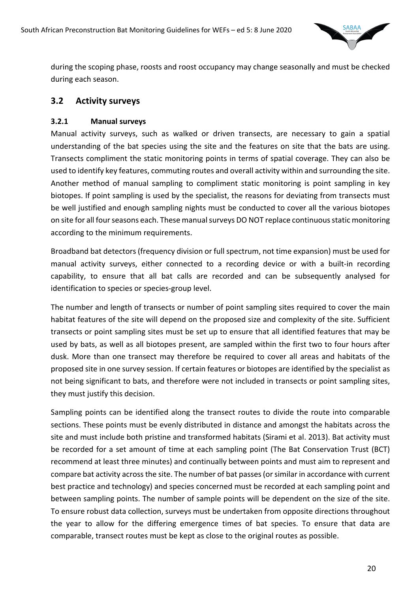

during the scoping phase, roosts and roost occupancy may change seasonally and must be checked during each season.

#### **3.2 Activity surveys**

#### **3.2.1 Manual surveys**

Manual activity surveys, such as walked or driven transects, are necessary to gain a spatial understanding of the bat species using the site and the features on site that the bats are using. Transects compliment the static monitoring points in terms of spatial coverage. They can also be used to identify key features, commuting routes and overall activity within and surrounding the site. Another method of manual sampling to compliment static monitoring is point sampling in key biotopes. If point sampling is used by the specialist, the reasons for deviating from transects must be well justified and enough sampling nights must be conducted to cover all the various biotopes on site for all four seasons each. These manual surveys DO NOT replace continuous static monitoring according to the minimum requirements.

Broadband bat detectors (frequency division or full spectrum, not time expansion) must be used for manual activity surveys, either connected to a recording device or with a built-in recording capability, to ensure that all bat calls are recorded and can be subsequently analysed for identification to species or species-group level.

The number and length of transects or number of point sampling sites required to cover the main habitat features of the site will depend on the proposed size and complexity of the site. Sufficient transects or point sampling sites must be set up to ensure that all identified features that may be used by bats, as well as all biotopes present, are sampled within the first two to four hours after dusk. More than one transect may therefore be required to cover all areas and habitats of the proposed site in one survey session. If certain features or biotopes are identified by the specialist as not being significant to bats, and therefore were not included in transects or point sampling sites, they must justify this decision.

Sampling points can be identified along the transect routes to divide the route into comparable sections. These points must be evenly distributed in distance and amongst the habitats across the site and must include both pristine and transformed habitats (Sirami et al. 2013). Bat activity must be recorded for a set amount of time at each sampling point (The Bat Conservation Trust (BCT) recommend at least three minutes) and continually between points and must aim to represent and compare bat activity across the site. The number of bat passes(or similar in accordance with current best practice and technology) and species concerned must be recorded at each sampling point and between sampling points. The number of sample points will be dependent on the size of the site. To ensure robust data collection, surveys must be undertaken from opposite directions throughout the year to allow for the differing emergence times of bat species. To ensure that data are comparable, transect routes must be kept as close to the original routes as possible.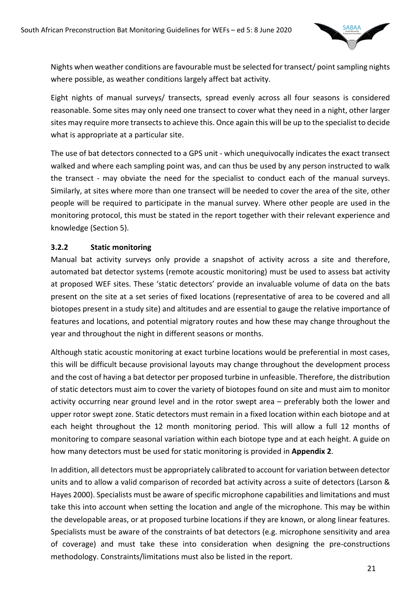

Nights when weather conditions are favourable must be selected for transect/ point sampling nights where possible, as weather conditions largely affect bat activity.

Eight nights of manual surveys/ transects, spread evenly across all four seasons is considered reasonable. Some sites may only need one transect to cover what they need in a night, other larger sites may require more transects to achieve this. Once again this will be up to the specialist to decide what is appropriate at a particular site.

The use of bat detectors connected to a GPS unit - which unequivocally indicates the exact transect walked and where each sampling point was, and can thus be used by any person instructed to walk the transect - may obviate the need for the specialist to conduct each of the manual surveys. Similarly, at sites where more than one transect will be needed to cover the area of the site, other people will be required to participate in the manual survey. Where other people are used in the monitoring protocol, this must be stated in the report together with their relevant experience and knowledge (Section 5).

#### **3.2.2 Static monitoring**

Manual bat activity surveys only provide a snapshot of activity across a site and therefore, automated bat detector systems (remote acoustic monitoring) must be used to assess bat activity at proposed WEF sites. These 'static detectors' provide an invaluable volume of data on the bats present on the site at a set series of fixed locations (representative of area to be covered and all biotopes present in a study site) and altitudes and are essential to gauge the relative importance of features and locations, and potential migratory routes and how these may change throughout the year and throughout the night in different seasons or months.

Although static acoustic monitoring at exact turbine locations would be preferential in most cases, this will be difficult because provisional layouts may change throughout the development process and the cost of having a bat detector per proposed turbine in unfeasible. Therefore, the distribution of static detectors must aim to cover the variety of biotopes found on site and must aim to monitor activity occurring near ground level and in the rotor swept area – preferably both the lower and upper rotor swept zone. Static detectors must remain in a fixed location within each biotope and at each height throughout the 12 month monitoring period. This will allow a full 12 months of monitoring to compare seasonal variation within each biotope type and at each height. A guide on how many detectors must be used for static monitoring is provided in **Appendix 2**.

In addition, all detectors must be appropriately calibrated to account for variation between detector units and to allow a valid comparison of recorded bat activity across a suite of detectors (Larson & Hayes 2000). Specialists must be aware of specific microphone capabilities and limitations and must take this into account when setting the location and angle of the microphone. This may be within the developable areas, or at proposed turbine locations if they are known, or along linear features. Specialists must be aware of the constraints of bat detectors (e.g. microphone sensitivity and area of coverage) and must take these into consideration when designing the pre-constructions methodology. Constraints/limitations must also be listed in the report.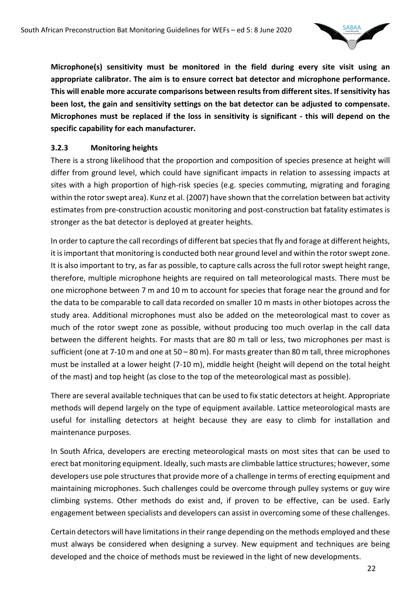

**Microphone(s) sensitivity must be monitored in the field during every site visit using an appropriate calibrator. The aim is to ensure correct bat detector and microphone performance. This will enable more accurate comparisons between results from different sites. If sensitivity has been lost, the gain and sensitivity settings on the bat detector can be adjusted to compensate. Microphones must be replaced if the loss in sensitivity is significant - this will depend on the specific capability for each manufacturer.** 

#### **3.2.3 Monitoring heights**

There is a strong likelihood that the proportion and composition of species presence at height will differ from ground level, which could have significant impacts in relation to assessing impacts at sites with a high proportion of high-risk species (e.g. species commuting, migrating and foraging within the rotor swept area). Kunz et al. (2007) have shown that the correlation between bat activity estimates from pre-construction acoustic monitoring and post-construction bat fatality estimates is stronger as the bat detector is deployed at greater heights.

In order to capture the call recordings of different bat species that fly and forage at different heights, it is important that monitoring is conducted both near ground level and within the rotor swept zone. It is also important to try, as far as possible, to capture calls across the full rotor swept height range, therefore, multiple microphone heights are required on tall meteorological masts. There must be one microphone between 7 m and 10 m to account for species that forage near the ground and for the data to be comparable to call data recorded on smaller 10 m masts in other biotopes across the study area. Additional microphones must also be added on the meteorological mast to cover as much of the rotor swept zone as possible, without producing too much overlap in the call data between the different heights. For masts that are 80 m tall or less, two microphones per mast is sufficient (one at 7-10 m and one at 50 – 80 m). For masts greater than 80 m tall, three microphones must be installed at a lower height (7-10 m), middle height (height will depend on the total height of the mast) and top height (as close to the top of the meteorological mast as possible).

There are several available techniques that can be used to fix static detectors at height. Appropriate methods will depend largely on the type of equipment available. Lattice meteorological masts are useful for installing detectors at height because they are easy to climb for installation and maintenance purposes.

In South Africa, developers are erecting meteorological masts on most sites that can be used to erect bat monitoring equipment. Ideally, such masts are climbable lattice structures; however, some developers use pole structures that provide more of a challenge in terms of erecting equipment and maintaining microphones. Such challenges could be overcome through pulley systems or guy wire climbing systems. Other methods do exist and, if proven to be effective, can be used. Early engagement between specialists and developers can assist in overcoming some of these challenges.

Certain detectors will have limitations in their range depending on the methods employed and these must always be considered when designing a survey. New equipment and techniques are being developed and the choice of methods must be reviewed in the light of new developments.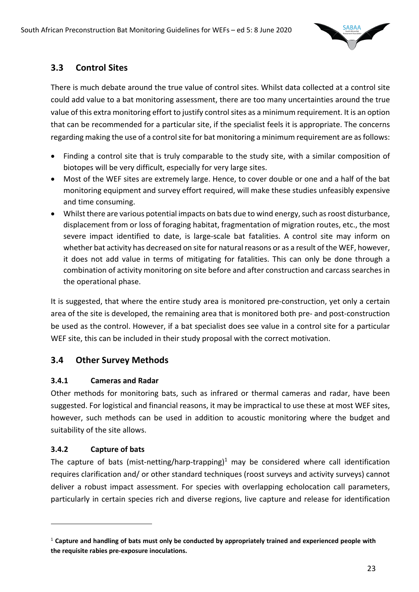

# **3.3 Control Sites**

There is much debate around the true value of control sites. Whilst data collected at a control site could add value to a bat monitoring assessment, there are too many uncertainties around the true value of this extra monitoring effort to justify control sites as a minimum requirement. It is an option that can be recommended for a particular site, if the specialist feels it is appropriate. The concerns regarding making the use of a control site for bat monitoring a minimum requirement are as follows:

- Finding a control site that is truly comparable to the study site, with a similar composition of biotopes will be very difficult, especially for very large sites.
- Most of the WEF sites are extremely large. Hence, to cover double or one and a half of the bat monitoring equipment and survey effort required, will make these studies unfeasibly expensive and time consuming.
- Whilst there are various potential impacts on bats due to wind energy, such as roost disturbance, displacement from or loss of foraging habitat, fragmentation of migration routes, etc., the most severe impact identified to date, is large-scale bat fatalities. A control site may inform on whether bat activity has decreased on site for natural reasons or as a result of the WEF, however, it does not add value in terms of mitigating for fatalities. This can only be done through a combination of activity monitoring on site before and after construction and carcass searches in the operational phase.

It is suggested, that where the entire study area is monitored pre-construction, yet only a certain area of the site is developed, the remaining area that is monitored both pre- and post-construction be used as the control. However, if a bat specialist does see value in a control site for a particular WEF site, this can be included in their study proposal with the correct motivation.

# **3.4 Other Survey Methods**

#### **3.4.1 Cameras and Radar**

Other methods for monitoring bats, such as infrared or thermal cameras and radar, have been suggested. For logistical and financial reasons, it may be impractical to use these at most WEF sites, however, such methods can be used in addition to acoustic monitoring where the budget and suitability of the site allows.

#### **3.4.2 Capture of bats**

The capture of bats (mist-netting/harp-trapping)<sup>1</sup> may be considered where call identification requires clarification and/ or other standard techniques (roost surveys and activity surveys) cannot deliver a robust impact assessment. For species with overlapping echolocation call parameters, particularly in certain species rich and diverse regions, live capture and release for identification

<sup>1</sup> **Capture and handling of bats must only be conducted by appropriately trained and experienced people with the requisite rabies pre-exposure inoculations.**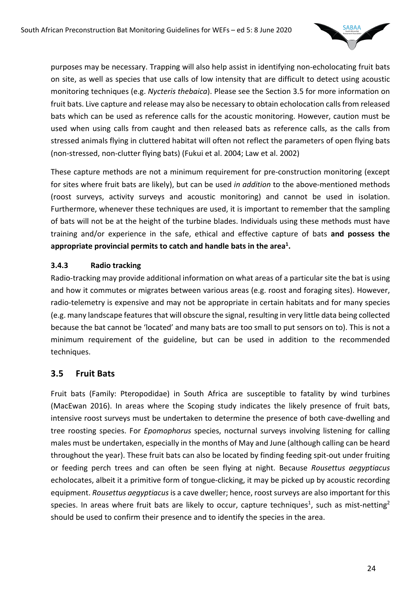

purposes may be necessary. Trapping will also help assist in identifying non-echolocating fruit bats on site, as well as species that use calls of low intensity that are difficult to detect using acoustic monitoring techniques (e.g. *Nycteris thebaica*). Please see the Section 3.5 for more information on fruit bats. Live capture and release may also be necessary to obtain echolocation calls from released bats which can be used as reference calls for the acoustic monitoring. However, caution must be used when using calls from caught and then released bats as reference calls, as the calls from stressed animals flying in cluttered habitat will often not reflect the parameters of open flying bats (non-stressed, non-clutter flying bats) (Fukui et al. 2004; Law et al. 2002)

These capture methods are not a minimum requirement for pre-construction monitoring (except for sites where fruit bats are likely), but can be used *in addition* to the above-mentioned methods (roost surveys, activity surveys and acoustic monitoring) and cannot be used in isolation. Furthermore, whenever these techniques are used, it is important to remember that the sampling of bats will not be at the height of the turbine blades. Individuals using these methods must have training and/or experience in the safe, ethical and effective capture of bats **and possess the**  appropriate provincial permits to catch and handle bats in the area<sup>1</sup>.

#### **3.4.3 Radio tracking**

Radio-tracking may provide additional information on what areas of a particular site the bat is using and how it commutes or migrates between various areas (e.g. roost and foraging sites). However, radio-telemetry is expensive and may not be appropriate in certain habitats and for many species (e.g. many landscape features that will obscure the signal, resulting in very little data being collected because the bat cannot be 'located' and many bats are too small to put sensors on to). This is not a minimum requirement of the guideline, but can be used in addition to the recommended techniques.

# **3.5 Fruit Bats**

Fruit bats (Family: Pteropodidae) in South Africa are susceptible to fatality by wind turbines (MacEwan 2016). In areas where the Scoping study indicates the likely presence of fruit bats, intensive roost surveys must be undertaken to determine the presence of both cave-dwelling and tree roosting species. For *Epomophorus* species, nocturnal surveys involving listening for calling males must be undertaken, especially in the months of May and June (although calling can be heard throughout the year). These fruit bats can also be located by finding feeding spit-out under fruiting or feeding perch trees and can often be seen flying at night. Because *Rousettus aegyptiacus* echolocates, albeit it a primitive form of tongue-clicking, it may be picked up by acoustic recording equipment. *Rousettus aegyptiacus*is a cave dweller; hence, roost surveys are also important for this species. In areas where fruit bats are likely to occur, capture techniques<sup>1</sup>, such as mist-netting<sup>2</sup> should be used to confirm their presence and to identify the species in the area.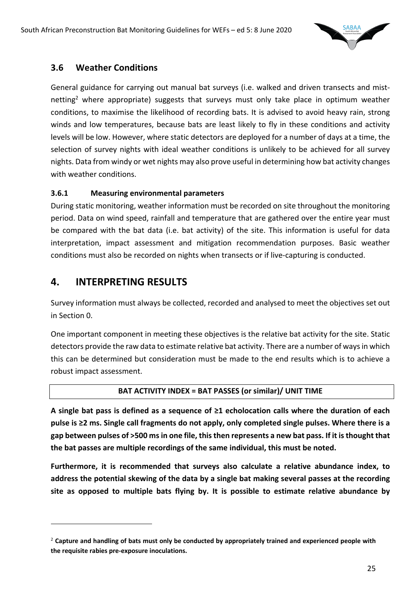

# **3.6 Weather Conditions**

General guidance for carrying out manual bat surveys (i.e. walked and driven transects and mistnetting<sup>2</sup> where appropriate) suggests that surveys must only take place in optimum weather conditions, to maximise the likelihood of recording bats. It is advised to avoid heavy rain, strong winds and low temperatures, because bats are least likely to fly in these conditions and activity levels will be low. However, where static detectors are deployed for a number of days at a time, the selection of survey nights with ideal weather conditions is unlikely to be achieved for all survey nights. Data from windy or wet nights may also prove useful in determining how bat activity changes with weather conditions.

#### **3.6.1 Measuring environmental parameters**

During static monitoring, weather information must be recorded on site throughout the monitoring period. Data on wind speed, rainfall and temperature that are gathered over the entire year must be compared with the bat data (i.e. bat activity) of the site. This information is useful for data interpretation, impact assessment and mitigation recommendation purposes. Basic weather conditions must also be recorded on nights when transects or if live-capturing is conducted.

# **4. INTERPRETING RESULTS**

Survey information must always be collected, recorded and analysed to meet the objectives set out in Section 0.

One important component in meeting these objectives is the relative bat activity for the site. Static detectors provide the raw data to estimate relative bat activity. There are a number of ways in which this can be determined but consideration must be made to the end results which is to achieve a robust impact assessment.

#### **BAT ACTIVITY INDEX = BAT PASSES (or similar)/ UNIT TIME**

**A single bat pass is defined as a sequence of ≥1 echolocation calls where the duration of each pulse is ≥2 ms. Single call fragments do not apply, only completed single pulses. Where there is a gap between pulses of >500 msin one file, this then represents a new bat pass. If it is thought that the bat passes are multiple recordings of the same individual, this must be noted.** 

**Furthermore, it is recommended that surveys also calculate a relative abundance index, to address the potential skewing of the data by a single bat making several passes at the recording site as opposed to multiple bats flying by. It is possible to estimate relative abundance by** 

<sup>2</sup> **Capture and handling of bats must only be conducted by appropriately trained and experienced people with the requisite rabies pre-exposure inoculations.**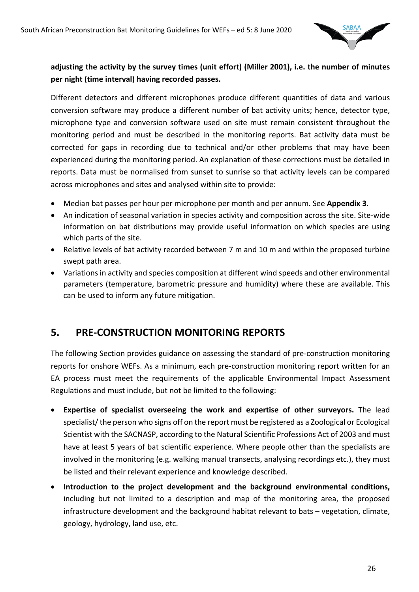

#### **adjusting the activity by the survey times (unit effort) (Miller 2001), i.e. the number of minutes per night (time interval) having recorded passes.**

Different detectors and different microphones produce different quantities of data and various conversion software may produce a different number of bat activity units; hence, detector type, microphone type and conversion software used on site must remain consistent throughout the monitoring period and must be described in the monitoring reports. Bat activity data must be corrected for gaps in recording due to technical and/or other problems that may have been experienced during the monitoring period. An explanation of these corrections must be detailed in reports. Data must be normalised from sunset to sunrise so that activity levels can be compared across microphones and sites and analysed within site to provide:

- Median bat passes per hour per microphone per month and per annum. See **Appendix 3**.
- An indication of seasonal variation in species activity and composition across the site. Site-wide information on bat distributions may provide useful information on which species are using which parts of the site.
- Relative levels of bat activity recorded between 7 m and 10 m and within the proposed turbine swept path area.
- Variations in activity and species composition at different wind speeds and other environmental parameters (temperature, barometric pressure and humidity) where these are available. This can be used to inform any future mitigation.

# **5. PRE-CONSTRUCTION MONITORING REPORTS**

The following Section provides guidance on assessing the standard of pre-construction monitoring reports for onshore WEFs. As a minimum, each pre-construction monitoring report written for an EA process must meet the requirements of the applicable Environmental Impact Assessment Regulations and must include, but not be limited to the following:

- **Expertise of specialist overseeing the work and expertise of other surveyors.** The lead specialist/ the person who signs off on the report must be registered as a Zoological or Ecological Scientist with the SACNASP, according to the Natural Scientific Professions Act of 2003 and must have at least 5 years of bat scientific experience. Where people other than the specialists are involved in the monitoring (e.g. walking manual transects, analysing recordings etc.), they must be listed and their relevant experience and knowledge described.
- **Introduction to the project development and the background environmental conditions,**  including but not limited to a description and map of the monitoring area, the proposed infrastructure development and the background habitat relevant to bats – vegetation, climate, geology, hydrology, land use, etc.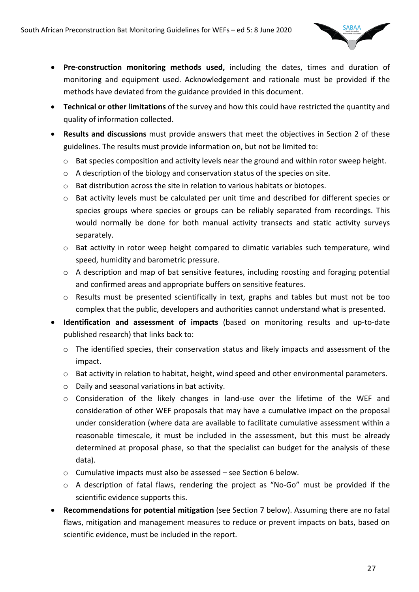

- **Pre-construction monitoring methods used,** including the dates, times and duration of monitoring and equipment used. Acknowledgement and rationale must be provided if the methods have deviated from the guidance provided in this document.
- **Technical or other limitations** of the survey and how this could have restricted the quantity and quality of information collected.
- **Results and discussions** must provide answers that meet the objectives in Section 2 of these guidelines. The results must provide information on, but not be limited to:
	- $\circ$  Bat species composition and activity levels near the ground and within rotor sweep height.
	- o A description of the biology and conservation status of the species on site.
	- o Bat distribution across the site in relation to various habitats or biotopes.
	- o Bat activity levels must be calculated per unit time and described for different species or species groups where species or groups can be reliably separated from recordings. This would normally be done for both manual activity transects and static activity surveys separately.
	- o Bat activity in rotor weep height compared to climatic variables such temperature, wind speed, humidity and barometric pressure.
	- o A description and map of bat sensitive features, including roosting and foraging potential and confirmed areas and appropriate buffers on sensitive features.
	- o Results must be presented scientifically in text, graphs and tables but must not be too complex that the public, developers and authorities cannot understand what is presented.
- **Identification and assessment of impacts** (based on monitoring results and up-to-date published research) that links back to:
	- o The identified species, their conservation status and likely impacts and assessment of the impact.
	- o Bat activity in relation to habitat, height, wind speed and other environmental parameters.
	- $\circ$  Daily and seasonal variations in bat activity.
	- $\circ$  Consideration of the likely changes in land-use over the lifetime of the WEF and consideration of other WEF proposals that may have a cumulative impact on the proposal under consideration (where data are available to facilitate cumulative assessment within a reasonable timescale, it must be included in the assessment, but this must be already determined at proposal phase, so that the specialist can budget for the analysis of these data).
	- o Cumulative impacts must also be assessed see Section 6 below.
	- o A description of fatal flaws, rendering the project as "No-Go" must be provided if the scientific evidence supports this.
- **Recommendations for potential mitigation** (see Section 7 below). Assuming there are no fatal flaws, mitigation and management measures to reduce or prevent impacts on bats, based on scientific evidence, must be included in the report.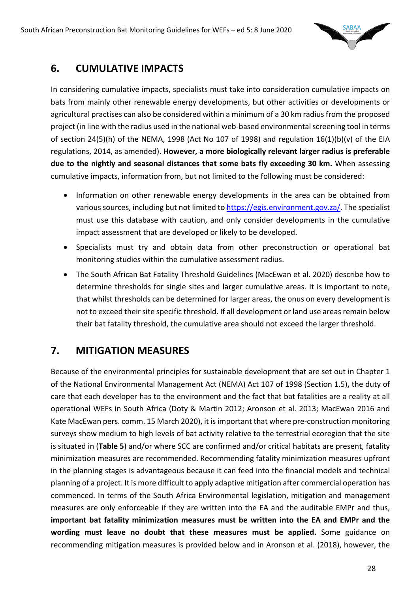

# **6. CUMULATIVE IMPACTS**

In considering cumulative impacts, specialists must take into consideration cumulative impacts on bats from mainly other renewable energy developments, but other activities or developments or agricultural practises can also be considered within a minimum of a 30 km radius from the proposed project (in line with the radius used in the national web-based environmental screening tool in terms of section 24(5)(h) of the NEMA, 1998 (Act No 107 of 1998) and regulation 16(1)(b)(v) of the EIA regulations, 2014, as amended). **However, a more biologically relevant larger radius is preferable due to the nightly and seasonal distances that some bats fly exceeding 30 km.** When assessing cumulative impacts, information from, but not limited to the following must be considered:

- Information on other renewable energy developments in the area can be obtained from various sources, including but not limited to https://egis.environment.gov.za/. The specialist must use this database with caution, and only consider developments in the cumulative impact assessment that are developed or likely to be developed.
- Specialists must try and obtain data from other preconstruction or operational bat monitoring studies within the cumulative assessment radius.
- The South African Bat Fatality Threshold Guidelines (MacEwan et al. 2020) describe how to determine thresholds for single sites and larger cumulative areas. It is important to note, that whilst thresholds can be determined for larger areas, the onus on every development is not to exceed their site specific threshold. If all development or land use areas remain below their bat fatality threshold, the cumulative area should not exceed the larger threshold.

# **7. MITIGATION MEASURES**

Because of the environmental principles for sustainable development that are set out in Chapter 1 of the National Environmental Management Act (NEMA) Act 107 of 1998 (Section 1.5)**,** the duty of care that each developer has to the environment and the fact that bat fatalities are a reality at all operational WEFs in South Africa (Doty & Martin 2012; Aronson et al. 2013; MacEwan 2016 and Kate MacEwan pers. comm. 15 March 2020), it is important that where pre-construction monitoring surveys show medium to high levels of bat activity relative to the terrestrial ecoregion that the site is situated in (**Table 5**) and/or where SCC are confirmed and/or critical habitats are present, fatality minimization measures are recommended. Recommending fatality minimization measures upfront in the planning stages is advantageous because it can feed into the financial models and technical planning of a project. It is more difficult to apply adaptive mitigation after commercial operation has commenced. In terms of the South Africa Environmental legislation, mitigation and management measures are only enforceable if they are written into the EA and the auditable EMPr and thus, **important bat fatality minimization measures must be written into the EA and EMPr and the wording must leave no doubt that these measures must be applied.** Some guidance on recommending mitigation measures is provided below and in Aronson et al. (2018), however, the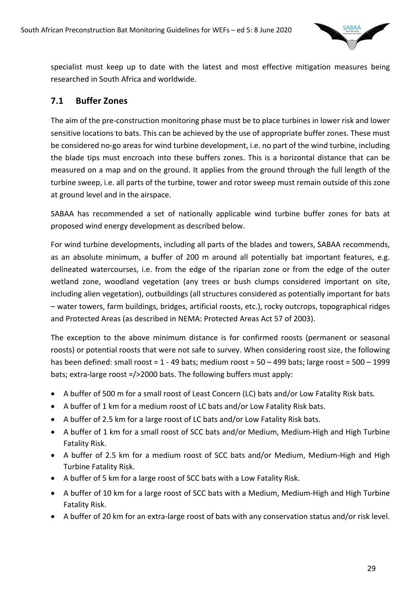

specialist must keep up to date with the latest and most effective mitigation measures being researched in South Africa and worldwide.

# **7.1 Buffer Zones**

The aim of the pre-construction monitoring phase must be to place turbines in lower risk and lower sensitive locations to bats. This can be achieved by the use of appropriate buffer zones. These must be considered no-go areas for wind turbine development, i.e. no part of the wind turbine, including the blade tips must encroach into these buffers zones. This is a horizontal distance that can be measured on a map and on the ground. It applies from the ground through the full length of the turbine sweep, i.e. all parts of the turbine, tower and rotor sweep must remain outside of this zone at ground level and in the airspace.

SABAA has recommended a set of nationally applicable wind turbine buffer zones for bats at proposed wind energy development as described below.

For wind turbine developments, including all parts of the blades and towers, SABAA recommends, as an absolute minimum, a buffer of 200 m around all potentially bat important features, e.g. delineated watercourses, i.e. from the edge of the riparian zone or from the edge of the outer wetland zone, woodland vegetation (any trees or bush clumps considered important on site, including alien vegetation), outbuildings (all structures considered as potentially important for bats – water towers, farm buildings, bridges, artificial roosts, etc.), rocky outcrops, topographical ridges and Protected Areas (as described in NEMA: Protected Areas Act 57 of 2003).

The exception to the above minimum distance is for confirmed roosts (permanent or seasonal roosts) or potential roosts that were not safe to survey. When considering roost size, the following has been defined: small roost = 1 - 49 bats; medium roost = 50 – 499 bats; large roost = 500 – 1999 bats; extra-large roost =/>2000 bats. The following buffers must apply:

- A buffer of 500 m for a small roost of Least Concern (LC) bats and/or Low Fatality Risk bats.
- A buffer of 1 km for a medium roost of LC bats and/or Low Fatality Risk bats.
- A buffer of 2.5 km for a large roost of LC bats and/or Low Fatality Risk bats.
- A buffer of 1 km for a small roost of SCC bats and/or Medium, Medium-High and High Turbine Fatality Risk.
- A buffer of 2.5 km for a medium roost of SCC bats and/or Medium, Medium-High and High Turbine Fatality Risk.
- A buffer of 5 km for a large roost of SCC bats with a Low Fatality Risk.
- A buffer of 10 km for a large roost of SCC bats with a Medium, Medium-High and High Turbine Fatality Risk.
- A buffer of 20 km for an extra-large roost of bats with any conservation status and/or risk level.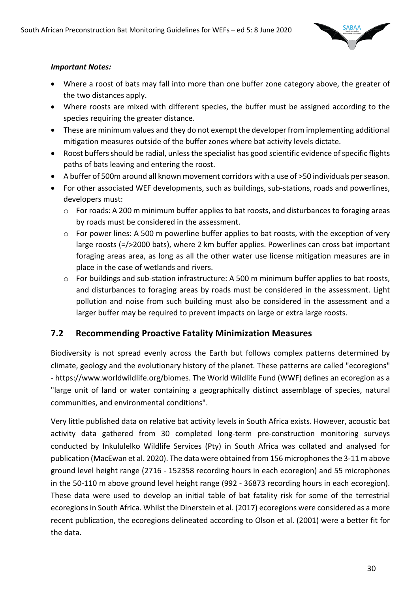

#### *Important Notes:*

- Where a roost of bats may fall into more than one buffer zone category above, the greater of the two distances apply.
- Where roosts are mixed with different species, the buffer must be assigned according to the species requiring the greater distance.
- These are minimum values and they do not exempt the developer from implementing additional mitigation measures outside of the buffer zones where bat activity levels dictate.
- Roost buffers should be radial, unless the specialist has good scientific evidence of specific flights paths of bats leaving and entering the roost.
- A buffer of 500m around all known movement corridors with a use of >50 individuals per season.
- For other associated WEF developments, such as buildings, sub-stations, roads and powerlines, developers must:
	- o For roads: A 200 m minimum buffer applies to bat roosts, and disturbances to foraging areas by roads must be considered in the assessment.
	- $\circ$  For power lines: A 500 m powerline buffer applies to bat roosts, with the exception of very large roosts (=/>2000 bats), where 2 km buffer applies. Powerlines can cross bat important foraging areas area, as long as all the other water use license mitigation measures are in place in the case of wetlands and rivers.
	- o For buildings and sub-station infrastructure: A 500 m minimum buffer applies to bat roosts, and disturbances to foraging areas by roads must be considered in the assessment. Light pollution and noise from such building must also be considered in the assessment and a larger buffer may be required to prevent impacts on large or extra large roosts.

#### **7.2 Recommending Proactive Fatality Minimization Measures**

Biodiversity is not spread evenly across the Earth but follows complex patterns determined by climate, geology and the evolutionary history of the planet. These patterns are called "ecoregions" - https://www.worldwildlife.org/biomes. The World Wildlife Fund (WWF) defines an ecoregion as a "large unit of land or water containing a geographically distinct assemblage of species, natural communities, and environmental conditions".

Very little published data on relative bat activity levels in South Africa exists. However, acoustic bat activity data gathered from 30 completed long-term pre-construction monitoring surveys conducted by Inkululelko Wildlife Services (Pty) in South Africa was collated and analysed for publication (MacEwan et al. 2020). The data were obtained from 156 microphones the 3-11 m above ground level height range (2716 - 152358 recording hours in each ecoregion) and 55 microphones in the 50-110 m above ground level height range (992 - 36873 recording hours in each ecoregion). These data were used to develop an initial table of bat fatality risk for some of the terrestrial ecoregions in South Africa. Whilst the Dinerstein et al. (2017) ecoregions were considered as a more recent publication, the ecoregions delineated according to Olson et al. (2001) were a better fit for the data.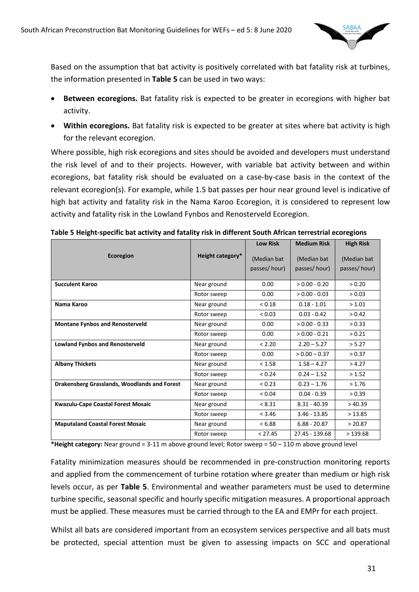

Based on the assumption that bat activity is positively correlated with bat fatality risk at turbines, the information presented in **Table 5** can be used in two ways:

- **Between ecoregions.** Bat fatality risk is expected to be greater in ecoregions with higher bat activity.
- **Within ecoregions.** Bat fatality risk is expected to be greater at sites where bat activity is high for the relevant ecoregion.

Where possible, high risk ecoregions and sites should be avoided and developers must understand the risk level of and to their projects. However, with variable bat activity between and within ecoregions, bat fatality risk should be evaluated on a case-by-case basis in the context of the relevant ecoregion(s). For example, while 1.5 bat passes per hour near ground level is indicative of high bat activity and fatality risk in the Nama Karoo Ecoregion, it is considered to represent low activity and fatality risk in the Lowland Fynbos and Renosterveld Ecoregion.

|                                              |                  | <b>Low Risk</b> | <b>Medium Risk</b> | <b>High Risk</b> |
|----------------------------------------------|------------------|-----------------|--------------------|------------------|
| Ecoregion                                    | Height category* | (Median bat     | (Median bat)       | (Median bat      |
|                                              |                  | passes/hour)    | passes/hour)       | passes/hour)     |
| <b>Succulent Karoo</b>                       | Near ground      | 0.00            | $> 0.00 - 0.20$    | > 0.20           |
|                                              | Rotor sweep      | 0.00            | $> 0.00 - 0.03$    | > 0.03           |
| Nama Karoo                                   | Near ground      | < 0.18          | $0.18 - 1.01$      | > 1.01           |
|                                              | Rotor sweep      | < 0.03          | $0.03 - 0.42$      | > 0.42           |
| <b>Montane Fynbos and Renosterveld</b>       | Near ground      | 0.00            | $> 0.00 - 0.33$    | > 0.33           |
|                                              | Rotor sweep      | 0.00            | $> 0.00 - 0.21$    | > 0.21           |
| <b>Lowland Fynbos and Renosterveld</b>       | Near ground      | < 2.20          | $2.20 - 5.27$      | > 5.27           |
|                                              | Rotor sweep      | 0.00            | $> 0.00 - 0.37$    | > 0.37           |
| <b>Albany Thickets</b>                       | Near ground      | < 1.58          | $1.58 - 4.27$      | >4.27            |
|                                              | Rotor sweep      | < 0.24          | $0.24 - 1.52$      | > 1.52           |
| Drakensberg Grasslands, Woodlands and Forest | Near ground      | < 0.23          | $0.23 - 1.76$      | >1.76            |
|                                              | Rotor sweep      | < 0.04          | $0.04 - 0.39$      | > 0.39           |
| Kwazulu-Cape Coastal Forest Mosaic           | Near ground      | < 8.31          | $8.31 - 40.39$     | >40.39           |
|                                              | Rotor sweep      | < 3.46          | $3.46 - 13.85$     | >13.85           |
| <b>Maputaland Coastal Forest Mosaic</b>      | Near ground      | < 6.88          | $6.88 - 20.87$     | > 20.87          |
|                                              | Rotor sweep      | < 27.45         | 27.45 - 139.68     | >139.68          |

|  | Table 5 Height-specific bat activity and fatality risk in different South African terrestrial ecoregions |  |
|--|----------------------------------------------------------------------------------------------------------|--|
|  |                                                                                                          |  |

**\*Height category:** Near ground = 3-11 m above ground level; Rotor sweep = 50 – 110 m above ground level

Fatality minimization measures should be recommended in pre-construction monitoring reports and applied from the commencement of turbine rotation where greater than medium or high risk levels occur, as per **Table 5**. Environmental and weather parameters must be used to determine turbine specific, seasonal specific and hourly specific mitigation measures. A proportional approach must be applied. These measures must be carried through to the EA and EMPr for each project.

Whilst all bats are considered important from an ecosystem services perspective and all bats must be protected, special attention must be given to assessing impacts on SCC and operational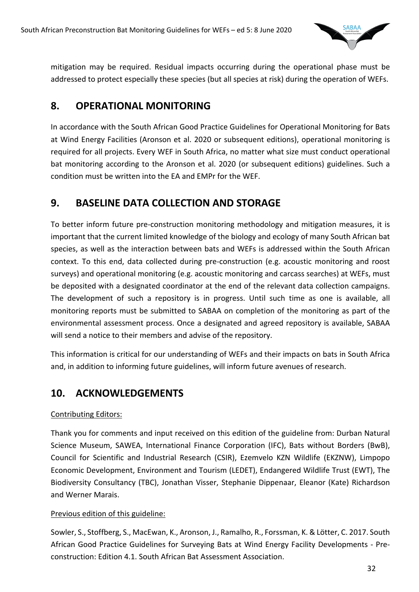

mitigation may be required. Residual impacts occurring during the operational phase must be addressed to protect especially these species (but all species at risk) during the operation of WEFs.

# **8. OPERATIONAL MONITORING**

In accordance with the South African Good Practice Guidelines for Operational Monitoring for Bats at Wind Energy Facilities (Aronson et al. 2020 or subsequent editions), operational monitoring is required for all projects. Every WEF in South Africa, no matter what size must conduct operational bat monitoring according to the Aronson et al. 2020 (or subsequent editions) guidelines. Such a condition must be written into the EA and EMPr for the WEF.

# **9. BASELINE DATA COLLECTION AND STORAGE**

To better inform future pre-construction monitoring methodology and mitigation measures, it is important that the current limited knowledge of the biology and ecology of many South African bat species, as well as the interaction between bats and WEFs is addressed within the South African context. To this end, data collected during pre-construction (e.g. acoustic monitoring and roost surveys) and operational monitoring (e.g. acoustic monitoring and carcass searches) at WEFs, must be deposited with a designated coordinator at the end of the relevant data collection campaigns. The development of such a repository is in progress. Until such time as one is available, all monitoring reports must be submitted to SABAA on completion of the monitoring as part of the environmental assessment process. Once a designated and agreed repository is available, SABAA will send a notice to their members and advise of the repository.

This information is critical for our understanding of WEFs and their impacts on bats in South Africa and, in addition to informing future guidelines, will inform future avenues of research.

# **10. ACKNOWLEDGEMENTS**

#### Contributing Editors:

Thank you for comments and input received on this edition of the guideline from: Durban Natural Science Museum, SAWEA, International Finance Corporation (IFC), Bats without Borders (BwB), Council for Scientific and Industrial Research (CSIR), Ezemvelo KZN Wildlife (EKZNW), Limpopo Economic Development, Environment and Tourism (LEDET), Endangered Wildlife Trust (EWT), The Biodiversity Consultancy (TBC), Jonathan Visser, Stephanie Dippenaar, Eleanor (Kate) Richardson and Werner Marais.

#### Previous edition of this guideline:

Sowler, S., Stoffberg, S., MacEwan, K., Aronson, J., Ramalho, R., Forssman, K. & Lötter, C. 2017. South African Good Practice Guidelines for Surveying Bats at Wind Energy Facility Developments - Preconstruction: Edition 4.1. South African Bat Assessment Association.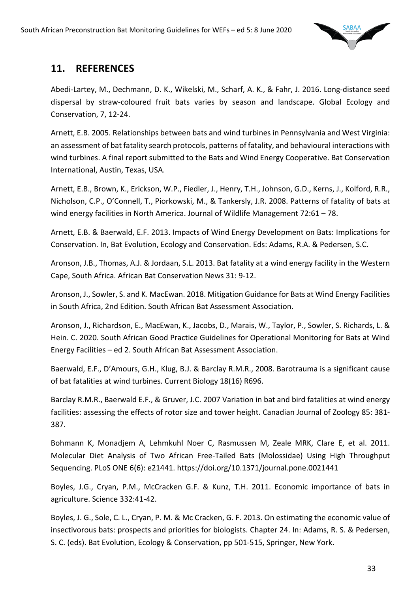

# **11. REFERENCES**

Abedi-Lartey, M., Dechmann, D. K., Wikelski, M., Scharf, A. K., & Fahr, J. 2016. Long-distance seed dispersal by straw-coloured fruit bats varies by season and landscape. Global Ecology and Conservation, 7, 12-24.

Arnett, E.B. 2005. Relationships between bats and wind turbines in Pennsylvania and West Virginia: an assessment of bat fatality search protocols, patterns of fatality, and behavioural interactions with wind turbines. A final report submitted to the Bats and Wind Energy Cooperative. Bat Conservation International, Austin, Texas, USA.

Arnett, E.B., Brown, K., Erickson, W.P., Fiedler, J., Henry, T.H., Johnson, G.D., Kerns, J., Kolford, R.R., Nicholson, C.P., O'Connell, T., Piorkowski, M., & Tankersly, J.R. 2008. Patterns of fatality of bats at wind energy facilities in North America. Journal of Wildlife Management 72:61 – 78.

Arnett, E.B. & Baerwald, E.F. 2013. Impacts of Wind Energy Development on Bats: Implications for Conservation. In, Bat Evolution, Ecology and Conservation. Eds: Adams, R.A. & Pedersen, S.C.

Aronson, J.B., Thomas, A.J. & Jordaan, S.L. 2013. Bat fatality at a wind energy facility in the Western Cape, South Africa. African Bat Conservation News 31: 9-12.

Aronson, J., Sowler, S. and K. MacEwan. 2018. Mitigation Guidance for Bats at Wind Energy Facilities in South Africa, 2nd Edition. South African Bat Assessment Association.

Aronson, J., Richardson, E., MacEwan, K., Jacobs, D., Marais, W., Taylor, P., Sowler, S. Richards, L. & Hein. C. 2020. South African Good Practice Guidelines for Operational Monitoring for Bats at Wind Energy Facilities – ed 2. South African Bat Assessment Association.

Baerwald, E.F., D'Amours, G.H., Klug, B.J. & Barclay R.M.R., 2008. Barotrauma is a significant cause of bat fatalities at wind turbines. Current Biology 18(16) R696.

Barclay R.M.R., Baerwald E.F., & Gruver, J.C. 2007 Variation in bat and bird fatalities at wind energy facilities: assessing the effects of rotor size and tower height. Canadian Journal of Zoology 85: 381- 387.

Bohmann K, Monadjem A, Lehmkuhl Noer C, Rasmussen M, Zeale MRK, Clare E, et al. 2011. Molecular Diet Analysis of Two African Free-Tailed Bats (Molossidae) Using High Throughput Sequencing. PLoS ONE 6(6): e21441. https://doi.org/10.1371/journal.pone.0021441

Boyles, J.G., Cryan, P.M., McCracken G.F. & Kunz, T.H. 2011. Economic importance of bats in agriculture. Science 332:41-42.

Boyles, J. G., Sole, C. L., Cryan, P. M. & Mc Cracken, G. F. 2013. On estimating the economic value of insectivorous bats: prospects and priorities for biologists. Chapter 24. In: Adams, R. S. & Pedersen, S. C. (eds). Bat Evolution, Ecology & Conservation, pp 501-515, Springer, New York.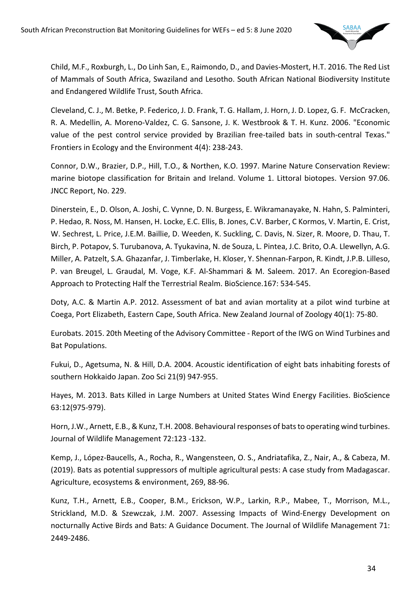

Child, M.F., Roxburgh, L., Do Linh San, E., Raimondo, D., and Davies-Mostert, H.T. 2016. The Red List of Mammals of South Africa, Swaziland and Lesotho. South African National Biodiversity Institute and Endangered Wildlife Trust, South Africa.

Cleveland, C. J., M. Betke, P. Federico, J. D. Frank, T. G. Hallam, J. Horn, J. D. Lopez, G. F. McCracken, R. A. Medellin, A. Moreno-Valdez, C. G. Sansone, J. K. Westbrook & T. H. Kunz. 2006. "Economic value of the pest control service provided by Brazilian free-tailed bats in south-central Texas." Frontiers in Ecology and the Environment 4(4): 238-243.

Connor, D.W., Brazier, D.P., Hill, T.O., & Northen, K.O. 1997. Marine Nature Conservation Review: marine biotope classification for Britain and Ireland. Volume 1. Littoral biotopes. Version 97.06. JNCC Report, No. 229.

Dinerstein, E., D. Olson, A. Joshi, C. Vynne, D. N. Burgess, E. Wikramanayake, N. Hahn, S. Palminteri, P. Hedao, R. Noss, M. Hansen, H. Locke, E.C. Ellis, B. Jones, C.V. Barber, C Kormos, V. Martin, E. Crist, W. Sechrest, L. Price, J.E.M. Baillie, D. Weeden, K. Suckling, C. Davis, N. Sizer, R. Moore, D. Thau, T. Birch, P. Potapov, S. Turubanova, A. Tyukavina, N. de Souza, L. Pintea, J.C. Brito, O.A. Llewellyn, A.G. Miller, A. Patzelt, S.A. Ghazanfar, J. Timberlake, H. Kloser, Y. Shennan-Farpon, R. Kindt, J.P.B. Lilleso, P. van Breugel, L. Graudal, M. Voge, K.F. Al-Shammari & M. Saleem. 2017. An Ecoregion-Based Approach to Protecting Half the Terrestrial Realm. BioScience.167: 534-545.

Doty, A.C. & Martin A.P. 2012. Assessment of bat and avian mortality at a pilot wind turbine at Coega, Port Elizabeth, Eastern Cape, South Africa. New Zealand Journal of Zoology 40(1): 75-80.

Eurobats. 2015. 20th Meeting of the Advisory Committee - Report of the IWG on Wind Turbines and Bat Populations.

Fukui, D., Agetsuma, N. & Hill, D.A. 2004. Acoustic identification of eight bats inhabiting forests of southern Hokkaido Japan. Zoo Sci 21(9) 947-955.

Hayes, M. 2013. Bats Killed in Large Numbers at United States Wind Energy Facilities. BioScience 63:12(975-979).

Horn, J.W., Arnett, E.B., & Kunz, T.H. 2008. Behavioural responses of bats to operating wind turbines. Journal of Wildlife Management 72:123 -132.

Kemp, J., López-Baucells, A., Rocha, R., Wangensteen, O. S., Andriatafika, Z., Nair, A., & Cabeza, M. (2019). Bats as potential suppressors of multiple agricultural pests: A case study from Madagascar. Agriculture, ecosystems & environment, 269, 88-96.

Kunz, T.H., Arnett, E.B., Cooper, B.M., Erickson, W.P., Larkin, R.P., Mabee, T., Morrison, M.L., Strickland, M.D. & Szewczak, J.M. 2007. Assessing Impacts of Wind-Energy Development on nocturnally Active Birds and Bats: A Guidance Document. The Journal of Wildlife Management 71: 2449-2486.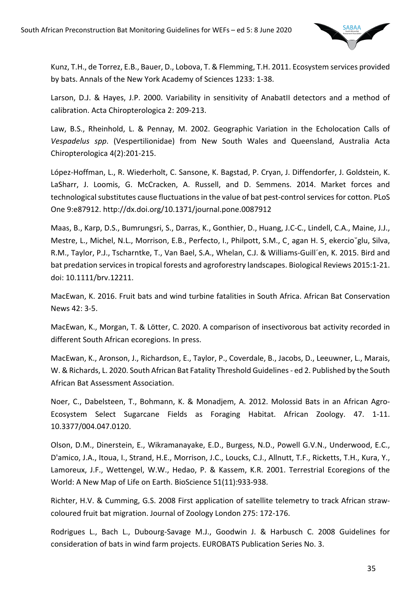

Kunz, T.H., de Torrez, E.B., Bauer, D., Lobova, T. & Flemming, T.H. 2011. Ecosystem services provided by bats. Annals of the New York Academy of Sciences 1233: 1-38.

Larson, D.J. & Hayes, J.P. 2000. Variability in sensitivity of AnabatII detectors and a method of calibration. Acta Chiropterologica 2: 209-213.

Law, B.S., Rheinhold, L. & Pennay, M. 2002. Geographic Variation in the Echolocation Calls of *Vespadelus spp*. (Vespertilionidae) from New South Wales and Queensland, Australia Acta Chiropterologica 4(2):201-215.

López-Hoffman, L., R. Wiederholt, C. Sansone, K. Bagstad, P. Cryan, J. Diffendorfer, J. Goldstein, K. LaSharr, J. Loomis, G. McCracken, A. Russell, and D. Semmens. 2014. Market forces and technological substitutes cause fluctuations in the value of bat pest-control services for cotton. PLoS One 9:e87912. http://dx.doi.org/10.1371/journal.pone.0087912

Maas, B., Karp, D.S., Bumrungsri, S., Darras, K., Gonthier, D., Huang, J.C-C., Lindell, C.A., Maine, J.J., Mestre, L., Michel, N.L., Morrison, E.B., Perfecto, I., Philpott, S.M., C¸ agan H. S¸ ekercio˘glu, Silva, R.M., Taylor, P.J., Tscharntke, T., Van Bael, S.A., Whelan, C.J. & Williams-Guill´en, K. 2015. Bird and bat predation services in tropical forests and agroforestry landscapes. Biological Reviews 2015:1-21. doi: 10.1111/brv.12211.

MacEwan, K. 2016. Fruit bats and wind turbine fatalities in South Africa. African Bat Conservation News 42: 3-5.

MacEwan, K., Morgan, T. & Lötter, C. 2020. A comparison of insectivorous bat activity recorded in different South African ecoregions. In press.

MacEwan, K., Aronson, J., Richardson, E., Taylor, P., Coverdale, B., Jacobs, D., Leeuwner, L., Marais, W. & Richards, L. 2020. South African Bat Fatality Threshold Guidelines - ed 2. Published by the South African Bat Assessment Association.

Noer, C., Dabelsteen, T., Bohmann, K. & Monadjem, A. 2012. Molossid Bats in an African Agro-Ecosystem Select Sugarcane Fields as Foraging Habitat. African Zoology. 47. 1-11. 10.3377/004.047.0120.

Olson, D.M., Dinerstein, E., Wikramanayake, E.D., Burgess, N.D., Powell G.V.N., Underwood, E.C., D'amico, J.A., Itoua, I., Strand, H.E., Morrison, J.C., Loucks, C.J., Allnutt, T.F., Ricketts, T.H., Kura, Y., Lamoreux, J.F., Wettengel, W.W., Hedao, P. & Kassem, K.R. 2001. Terrestrial Ecoregions of the World: A New Map of Life on Earth. BioScience 51(11):933-938.

Richter, H.V. & Cumming, G.S. 2008 First application of satellite telemetry to track African strawcoloured fruit bat migration. Journal of Zoology London 275: 172-176.

Rodrigues L., Bach L., Dubourg-Savage M.J., Goodwin J. & Harbusch C. 2008 Guidelines for consideration of bats in wind farm projects. EUROBATS Publication Series No. 3.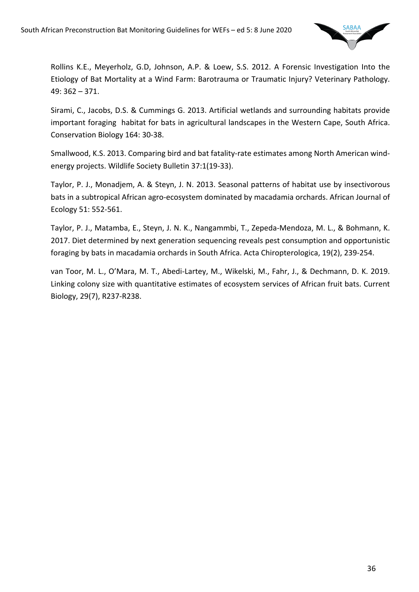

Rollins K.E., Meyerholz, G.D, Johnson, A.P. & Loew, S.S. 2012. A Forensic Investigation Into the Etiology of Bat Mortality at a Wind Farm: Barotrauma or Traumatic Injury? Veterinary Pathology. 49: 362 – 371.

Sirami, C., Jacobs, D.S. & Cummings G. 2013. Artificial wetlands and surrounding habitats provide important foraging habitat for bats in agricultural landscapes in the Western Cape, South Africa. Conservation Biology 164: 30-38.

Smallwood, K.S. 2013. Comparing bird and bat fatality-rate estimates among North American windenergy projects. Wildlife Society Bulletin 37:1(19-33).

Taylor, P. J., Monadjem, A. & Steyn, J. N. 2013. Seasonal patterns of habitat use by insectivorous bats in a subtropical African agro-ecosystem dominated by macadamia orchards. African Journal of Ecology 51: 552-561.

Taylor, P. J., Matamba, E., Steyn, J. N. K., Nangammbi, T., Zepeda-Mendoza, M. L., & Bohmann, K. 2017. Diet determined by next generation sequencing reveals pest consumption and opportunistic foraging by bats in macadamia orchards in South Africa. Acta Chiropterologica, 19(2), 239-254.

van Toor, M. L., O'Mara, M. T., Abedi-Lartey, M., Wikelski, M., Fahr, J., & Dechmann, D. K. 2019. Linking colony size with quantitative estimates of ecosystem services of African fruit bats. Current Biology, 29(7), R237-R238.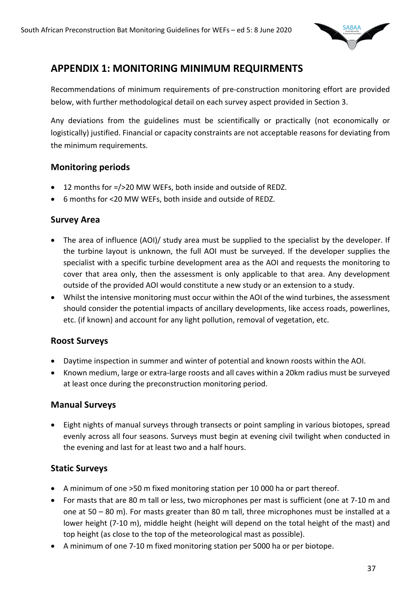

# **APPENDIX 1: MONITORING MINIMUM REQUIRMENTS**

Recommendations of minimum requirements of pre-construction monitoring effort are provided below, with further methodological detail on each survey aspect provided in Section 3.

Any deviations from the guidelines must be scientifically or practically (not economically or logistically) justified. Financial or capacity constraints are not acceptable reasons for deviating from the minimum requirements.

#### **Monitoring periods**

- 12 months for =/>20 MW WEFs, both inside and outside of REDZ.
- 6 months for <20 MW WEFs, both inside and outside of REDZ.

### **Survey Area**

- The area of influence (AOI)/ study area must be supplied to the specialist by the developer. If the turbine layout is unknown, the full AOI must be surveyed. If the developer supplies the specialist with a specific turbine development area as the AOI and requests the monitoring to cover that area only, then the assessment is only applicable to that area. Any development outside of the provided AOI would constitute a new study or an extension to a study.
- Whilst the intensive monitoring must occur within the AOI of the wind turbines, the assessment should consider the potential impacts of ancillary developments, like access roads, powerlines, etc. (if known) and account for any light pollution, removal of vegetation, etc.

# **Roost Surveys**

- Daytime inspection in summer and winter of potential and known roosts within the AOI.
- Known medium, large or extra-large roosts and all caves within a 20km radius must be surveyed at least once during the preconstruction monitoring period.

# **Manual Surveys**

• Eight nights of manual surveys through transects or point sampling in various biotopes, spread evenly across all four seasons. Surveys must begin at evening civil twilight when conducted in the evening and last for at least two and a half hours.

# **Static Surveys**

- A minimum of one >50 m fixed monitoring station per 10 000 ha or part thereof.
- For masts that are 80 m tall or less, two microphones per mast is sufficient (one at 7-10 m and one at 50 – 80 m). For masts greater than 80 m tall, three microphones must be installed at a lower height (7-10 m), middle height (height will depend on the total height of the mast) and top height (as close to the top of the meteorological mast as possible).
- A minimum of one 7-10 m fixed monitoring station per 5000 ha or per biotope.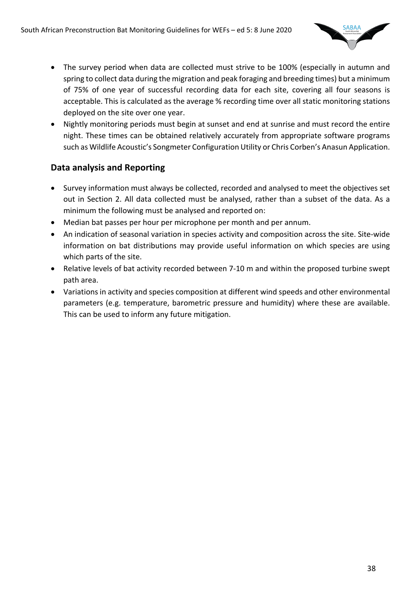

- The survey period when data are collected must strive to be 100% (especially in autumn and spring to collect data during the migration and peak foraging and breeding times) but a minimum of 75% of one year of successful recording data for each site, covering all four seasons is acceptable. This is calculated as the average % recording time over all static monitoring stations deployed on the site over one year.
- Nightly monitoring periods must begin at sunset and end at sunrise and must record the entire night. These times can be obtained relatively accurately from appropriate software programs such as Wildlife Acoustic's Songmeter Configuration Utility or Chris Corben's Anasun Application.

# **Data analysis and Reporting**

- Survey information must always be collected, recorded and analysed to meet the objectives set out in Section 2. All data collected must be analysed, rather than a subset of the data. As a minimum the following must be analysed and reported on:
- Median bat passes per hour per microphone per month and per annum.
- An indication of seasonal variation in species activity and composition across the site. Site-wide information on bat distributions may provide useful information on which species are using which parts of the site.
- Relative levels of bat activity recorded between 7-10 m and within the proposed turbine swept path area.
- Variations in activity and species composition at different wind speeds and other environmental parameters (e.g. temperature, barometric pressure and humidity) where these are available. This can be used to inform any future mitigation.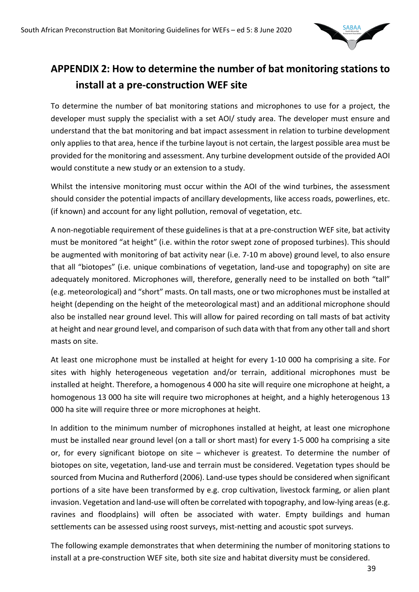

# **APPENDIX 2: How to determine the number of bat monitoring stations to install at a pre-construction WEF site**

To determine the number of bat monitoring stations and microphones to use for a project, the developer must supply the specialist with a set AOI/ study area. The developer must ensure and understand that the bat monitoring and bat impact assessment in relation to turbine development only applies to that area, hence if the turbine layout is not certain, the largest possible area must be provided for the monitoring and assessment. Any turbine development outside of the provided AOI would constitute a new study or an extension to a study.

Whilst the intensive monitoring must occur within the AOI of the wind turbines, the assessment should consider the potential impacts of ancillary developments, like access roads, powerlines, etc. (if known) and account for any light pollution, removal of vegetation, etc.

A non-negotiable requirement of these guidelines is that at a pre-construction WEF site, bat activity must be monitored "at height" (i.e. within the rotor swept zone of proposed turbines). This should be augmented with monitoring of bat activity near (i.e. 7-10 m above) ground level, to also ensure that all "biotopes" (i.e. unique combinations of vegetation, land-use and topography) on site are adequately monitored. Microphones will, therefore, generally need to be installed on both "tall" (e.g. meteorological) and "short" masts. On tall masts, one or two microphones must be installed at height (depending on the height of the meteorological mast) and an additional microphone should also be installed near ground level. This will allow for paired recording on tall masts of bat activity at height and near ground level, and comparison of such data with that from any other tall and short masts on site.

At least one microphone must be installed at height for every 1-10 000 ha comprising a site. For sites with highly heterogeneous vegetation and/or terrain, additional microphones must be installed at height. Therefore, a homogenous 4 000 ha site will require one microphone at height, a homogenous 13 000 ha site will require two microphones at height, and a highly heterogenous 13 000 ha site will require three or more microphones at height.

In addition to the minimum number of microphones installed at height, at least one microphone must be installed near ground level (on a tall or short mast) for every 1-5 000 ha comprising a site or, for every significant biotope on site – whichever is greatest. To determine the number of biotopes on site, vegetation, land-use and terrain must be considered. Vegetation types should be sourced from Mucina and Rutherford (2006). Land-use types should be considered when significant portions of a site have been transformed by e.g. crop cultivation, livestock farming, or alien plant invasion. Vegetation and land-use will often be correlated with topography, and low-lying areas (e.g. ravines and floodplains) will often be associated with water. Empty buildings and human settlements can be assessed using roost surveys, mist-netting and acoustic spot surveys.

The following example demonstrates that when determining the number of monitoring stations to install at a pre-construction WEF site, both site size and habitat diversity must be considered.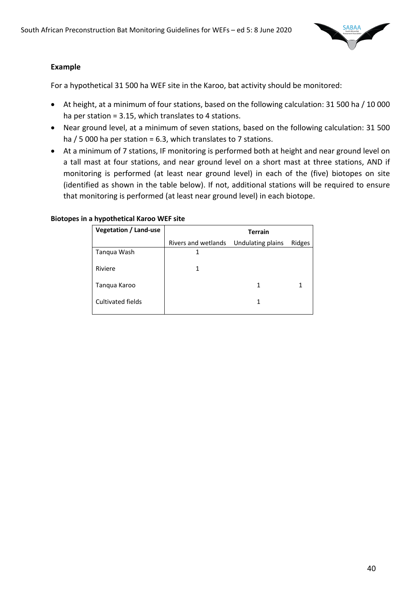

#### **Example**

For a hypothetical 31 500 ha WEF site in the Karoo, bat activity should be monitored:

- At height, at a minimum of four stations, based on the following calculation: 31 500 ha / 10 000 ha per station = 3.15, which translates to 4 stations.
- Near ground level, at a minimum of seven stations, based on the following calculation: 31 500 ha / 5 000 ha per station = 6.3, which translates to 7 stations.
- At a minimum of 7 stations, IF monitoring is performed both at height and near ground level on a tall mast at four stations, and near ground level on a short mast at three stations, AND if monitoring is performed (at least near ground level) in each of the (five) biotopes on site (identified as shown in the table below). If not, additional stations will be required to ensure that monitoring is performed (at least near ground level) in each biotope.

#### **Biotopes in a hypothetical Karoo WEF site**

| <b>Vegetation / Land-use</b> | <b>Terrain</b>      |                   |        |  |  |
|------------------------------|---------------------|-------------------|--------|--|--|
|                              | Rivers and wetlands | Undulating plains | Ridges |  |  |
| Tanqua Wash                  | 1                   |                   |        |  |  |
| Riviere                      | 1                   |                   |        |  |  |
| Tanqua Karoo                 |                     | 1                 |        |  |  |
| Cultivated fields            |                     | 1                 |        |  |  |
|                              |                     |                   |        |  |  |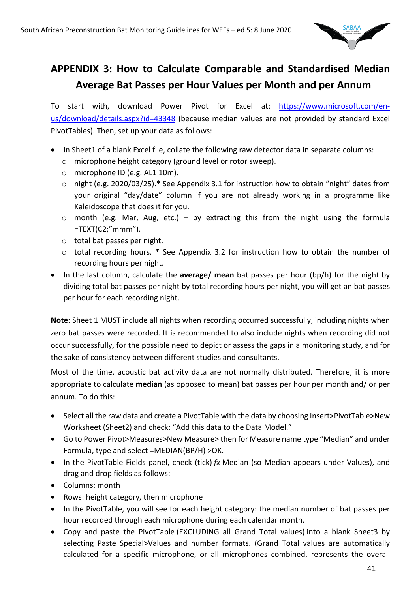

# **APPENDIX 3: How to Calculate Comparable and Standardised Median Average Bat Passes per Hour Values per Month and per Annum**

To start with, download Power Pivot for Excel at: https://www.microsoft.com/enus/download/details.aspx?id=43348 (because median values are not provided by standard Excel PivotTables). Then, set up your data as follows:

- In Sheet1 of a blank Excel file, collate the following raw detector data in separate columns:
	- o microphone height category (ground level or rotor sweep).
	- o microphone ID (e.g. AL1 10m).
	- o night (e.g. 2020/03/25).\* See Appendix 3.1 for instruction how to obtain "night" dates from your original "day/date" column if you are not already working in a programme like Kaleidoscope that does it for you.
	- $\circ$  month (e.g. Mar, Aug, etc.) by extracting this from the night using the formula  $=$ TEXT(C2;"mmm").
	- o total bat passes per night.
	- o total recording hours. \* See Appendix 3.2 for instruction how to obtain the number of recording hours per night.
- In the last column, calculate the **average/ mean** bat passes per hour (bp/h) for the night by dividing total bat passes per night by total recording hours per night, you will get an bat passes per hour for each recording night.

**Note:** Sheet 1 MUST include all nights when recording occurred successfully, including nights when zero bat passes were recorded. It is recommended to also include nights when recording did not occur successfully, for the possible need to depict or assess the gaps in a monitoring study, and for the sake of consistency between different studies and consultants.

Most of the time, acoustic bat activity data are not normally distributed. Therefore, it is more appropriate to calculate **median** (as opposed to mean) bat passes per hour per month and/ or per annum. To do this:

- Select all the raw data and create a PivotTable with the data by choosing Insert>PivotTable>New Worksheet (Sheet2) and check: "Add this data to the Data Model."
- Go to Power Pivot>Measures>New Measure> then for Measure name type "Median" and under Formula, type and select =MEDIAN(BP/H) >OK.
- In the PivotTable Fields panel, check (tick) *fx* Median (so Median appears under Values), and drag and drop fields as follows:
- Columns: month
- Rows: height category, then microphone
- In the PivotTable, you will see for each height category: the median number of bat passes per hour recorded through each microphone during each calendar month.
- Copy and paste the PivotTable (EXCLUDING all Grand Total values) into a blank Sheet3 by selecting Paste Special>Values and number formats. (Grand Total values are automatically calculated for a specific microphone, or all microphones combined, represents the overall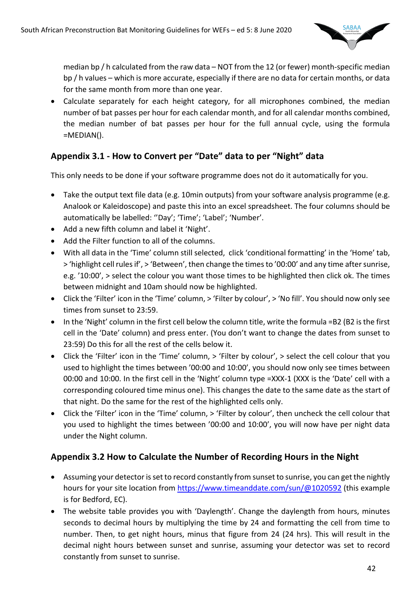

median bp / h calculated from the raw data – NOT from the 12 (or fewer) month-specific median bp / h values – which is more accurate, especially if there are no data for certain months, or data for the same month from more than one year.

• Calculate separately for each height category, for all microphones combined, the median number of bat passes per hour for each calendar month, and for all calendar months combined, the median number of bat passes per hour for the full annual cycle, using the formula =MEDIAN().

# **Appendix 3.1 - How to Convert per "Date" data to per "Night" data**

This only needs to be done if your software programme does not do it automatically for you.

- Take the output text file data (e.g. 10 min outputs) from your software analysis programme (e.g. Analook or Kaleidoscope) and paste this into an excel spreadsheet. The four columns should be automatically be labelled: ''Day'; 'Time'; 'Label'; 'Number'.
- Add a new fifth column and label it 'Night'.
- Add the Filter function to all of the columns.
- With all data in the 'Time' column still selected, click 'conditional formatting' in the 'Home' tab, > 'highlight cell rules if', > 'Between', then change the times to '00:00' and any time after sunrise, e.g. '10:00', > select the colour you want those times to be highlighted then click ok. The times between midnight and 10am should now be highlighted.
- Click the 'Filter' icon in the 'Time' column, > 'Filter by colour', > 'No fill'. You should now only see times from sunset to 23:59.
- In the 'Night' column in the first cell below the column title, write the formula =B2 (B2 is the first cell in the 'Date' column) and press enter. (You don't want to change the dates from sunset to 23:59) Do this for all the rest of the cells below it.
- Click the 'Filter' icon in the 'Time' column, > 'Filter by colour', > select the cell colour that you used to highlight the times between '00:00 and 10:00', you should now only see times between 00:00 and 10:00. In the first cell in the 'Night' column type =XXX-1 (XXX is the 'Date' cell with a corresponding coloured time minus one). This changes the date to the same date as the start of that night. Do the same for the rest of the highlighted cells only.
- Click the 'Filter' icon in the 'Time' column, > 'Filter by colour', then uncheck the cell colour that you used to highlight the times between '00:00 and 10:00', you will now have per night data under the Night column.

# **Appendix 3.2 How to Calculate the Number of Recording Hours in the Night**

- Assuming your detector is set to record constantly from sunset to sunrise, you can get the nightly hours for your site location from https://www.timeanddate.com/sun/@1020592 (this example is for Bedford, EC).
- The website table provides you with 'Daylength'. Change the daylength from hours, minutes seconds to decimal hours by multiplying the time by 24 and formatting the cell from time to number. Then, to get night hours, minus that figure from 24 (24 hrs). This will result in the decimal night hours between sunset and sunrise, assuming your detector was set to record constantly from sunset to sunrise.